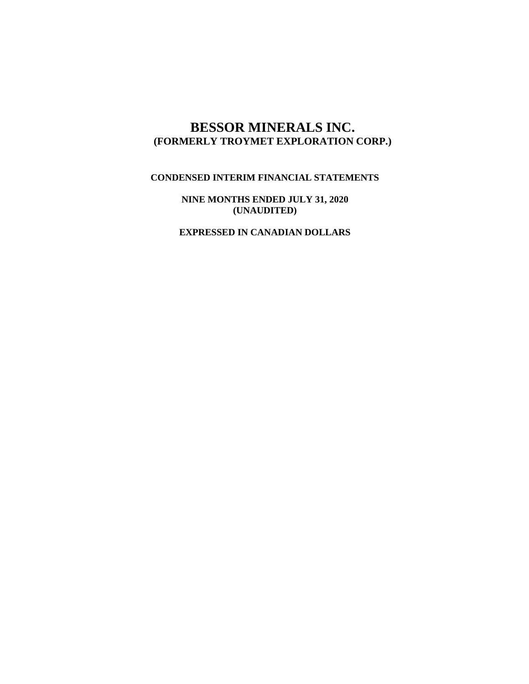# **BESSOR MINERALS INC. (FORMERLY TROYMET EXPLORATION CORP.)**

## **CONDENSED INTERIM FINANCIAL STATEMENTS**

**NINE MONTHS ENDED JULY 31, 2020 (UNAUDITED)**

**EXPRESSED IN CANADIAN DOLLARS**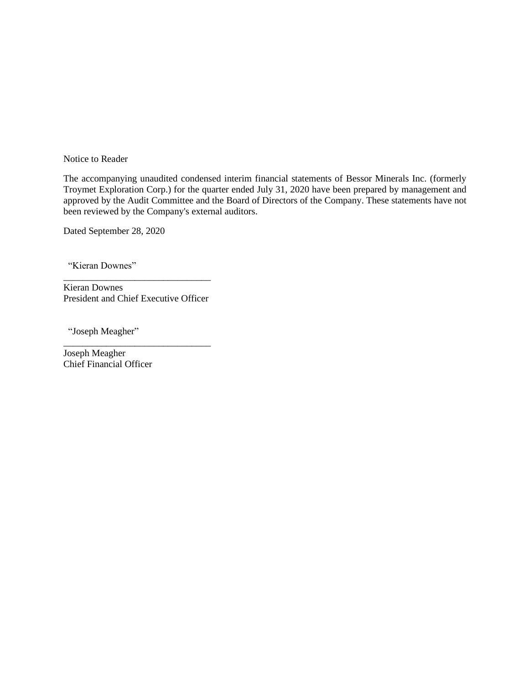Notice to Reader

The accompanying unaudited condensed interim financial statements of Bessor Minerals Inc. (formerly Troymet Exploration Corp.) for the quarter ended July 31, 2020 have been prepared by management and approved by the Audit Committee and the Board of Directors of the Company. These statements have not been reviewed by the Company's external auditors.

Dated September 28, 2020

"Kieran Downes"

\_\_\_\_\_\_\_\_\_\_\_\_\_\_\_\_\_\_\_\_\_\_\_\_\_\_\_\_\_\_\_ Kieran Downes President and Chief Executive Officer

\_\_\_\_\_\_\_\_\_\_\_\_\_\_\_\_\_\_\_\_\_\_\_\_\_\_\_\_\_\_\_

"Joseph Meagher"

Joseph Meagher Chief Financial Officer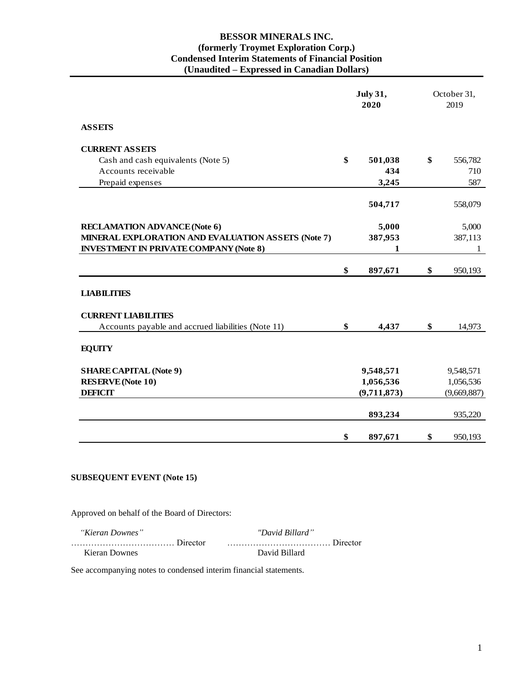### **BESSOR MINERALS INC. (formerly Troymet Exploration Corp.) Condensed Interim Statements of Financial Position (Unaudited – Expressed in Canadian Dollars)**

|                                                    | <b>July 31,</b><br>2020 |             | October 31,<br>2019 |
|----------------------------------------------------|-------------------------|-------------|---------------------|
| <b>ASSETS</b>                                      |                         |             |                     |
| <b>CURRENT ASSETS</b>                              |                         |             |                     |
| Cash and cash equivalents (Note 5)                 | \$                      | 501,038     | \$<br>556,782       |
| Accounts receivable                                |                         | 434         | 710                 |
| Prepaid expenses                                   |                         | 3,245       | 587                 |
|                                                    |                         | 504,717     | 558,079             |
| <b>RECLAMATION ADVANCE (Note 6)</b>                |                         | 5,000       | 5,000               |
| MINERAL EXPLORATION AND EVALUATION ASSETS (Note 7) |                         | 387,953     | 387,113             |
| <b>INVESTMENT IN PRIVATE COMPANY (Note 8)</b>      |                         | 1           | 1                   |
|                                                    | \$                      | 897,671     | \$<br>950,193       |
| <b>LIABILITIES</b>                                 |                         |             |                     |
| <b>CURRENT LIABILITIES</b>                         |                         |             |                     |
| Accounts payable and accrued liabilities (Note 11) | \$                      | 4.437       | \$<br>14,973        |
| <b>EQUITY</b>                                      |                         |             |                     |
| <b>SHARE CAPITAL (Note 9)</b>                      |                         | 9,548,571   | 9,548,571           |
| <b>RESERVE</b> (Note 10)                           |                         | 1,056,536   | 1,056,536           |
| <b>DEFICIT</b>                                     |                         | (9,711,873) | (9,669,887)         |
|                                                    |                         | 893,234     | 935,220             |
|                                                    | \$                      | 897,671     | \$<br>950,193       |

## **SUBSEQUENT EVENT (Note 15)**

Approved on behalf of the Board of Directors:

| "Kieran Downes" | "David Billard" |
|-----------------|-----------------|
|                 |                 |
| Kieran Downes   | David Billard   |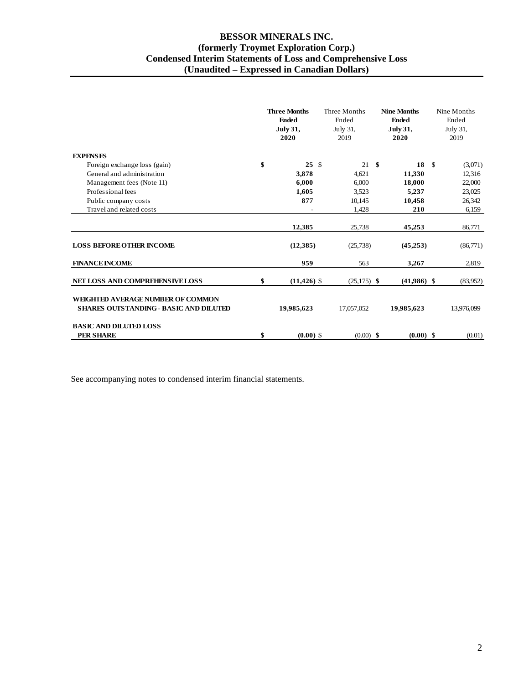## **BESSOR MINERALS INC. (formerly Troymet Exploration Corp.) Condensed Interim Statements of Loss and Comprehensive Loss (Unaudited – Expressed in Canadian Dollars)**

|                                                                                    | <b>Three Months</b><br><b>Ended</b><br><b>July 31,</b><br>2020 |  | Three Months<br>Ended<br>July 31,<br>2019 |      | <b>Nine Months</b><br><b>Ended</b><br><b>July 31,</b><br>2020 |      | Nine Months<br>Ended<br>July 31,<br>2019 |
|------------------------------------------------------------------------------------|----------------------------------------------------------------|--|-------------------------------------------|------|---------------------------------------------------------------|------|------------------------------------------|
| <b>EXPENSES</b>                                                                    |                                                                |  |                                           |      |                                                               |      |                                          |
| Foreign exchange loss (gain)                                                       | \$<br>25S                                                      |  | 21                                        | - \$ | 18                                                            | - \$ | (3,071)                                  |
| General and administration                                                         | 3.878                                                          |  | 4.621                                     |      | 11,330                                                        |      | 12,316                                   |
| Management fees (Note 11)                                                          | 6,000                                                          |  | 6,000                                     |      | 18,000                                                        |      | 22,000                                   |
| Professional fees                                                                  | 1,605                                                          |  | 3,523                                     |      | 5,237                                                         |      | 23,025                                   |
| Public company costs                                                               | 877                                                            |  | 10,145                                    |      | 10,458                                                        |      | 26,342                                   |
| Travel and related costs                                                           |                                                                |  | 1,428                                     |      | 210                                                           |      | 6,159                                    |
|                                                                                    | 12,385                                                         |  | 25,738                                    |      | 45,253                                                        |      | 86,771                                   |
| <b>LOSS BEFORE OTHER INCOME</b>                                                    | (12, 385)                                                      |  | (25,738)                                  |      | (45,253)                                                      |      | (86,771)                                 |
| <b>FINANCE INCOME</b>                                                              | 959                                                            |  | 563                                       |      | 3,267                                                         |      | 2,819                                    |
| NET LOSS AND COMPREHENSIVE LOSS                                                    | \$<br>$(11, 426)$ \$                                           |  | $(25,175)$ \$                             |      | $(41,986)$ \$                                                 |      | (83,952)                                 |
| WEIGHTED AVERAGE NUMBER OF COMMON<br><b>SHARES OUTSTANDING - BASIC AND DILUTED</b> | 19,985,623                                                     |  | 17,057,052                                |      | 19,985,623                                                    |      | 13,976,099                               |
| <b>BASIC AND DILUTED LOSS</b><br><b>PER SHARE</b>                                  | \$<br>$(0.00)$ \$                                              |  | $(0.00)$ \$                               |      | $(0.00)$ \$                                                   |      | (0.01)                                   |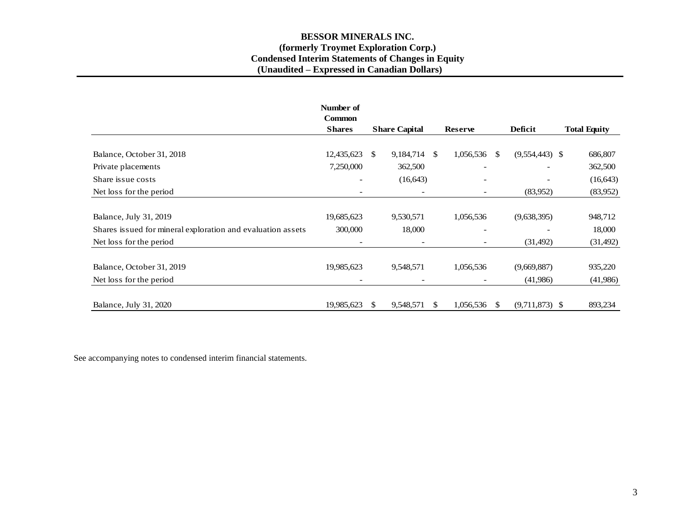## **BESSOR MINERALS INC. (formerly Troymet Exploration Corp.) Condensed Interim Statements of Changes in Equity (Unaudited – Expressed in Canadian Dollars)**

|                                                             | Number of                    |                              |               |                |    |                  |                     |
|-------------------------------------------------------------|------------------------------|------------------------------|---------------|----------------|----|------------------|---------------------|
|                                                             | <b>Common</b>                |                              |               |                |    |                  |                     |
|                                                             | <b>Shares</b>                | <b>Share Capital</b>         |               | <b>Reserve</b> |    | Deficit          | <b>Total Equity</b> |
|                                                             |                              |                              |               |                |    |                  |                     |
| Balance, October 31, 2018                                   | 12,435,623                   | \$<br>9,184,714              | <sup>\$</sup> | 1,056,536      | -S | $(9,554,443)$ \$ | 686,807             |
| Private placements                                          | 7,250,000                    | 362,500                      |               |                |    |                  | 362,500             |
| Share issue costs                                           | $\overline{\phantom{a}}$     | (16, 643)                    |               |                |    |                  | (16, 643)           |
| Net loss for the period                                     | $\qquad \qquad \blacksquare$ | $\overline{\phantom{a}}$     |               |                |    | (83,952)         | (83,952)            |
|                                                             |                              |                              |               |                |    |                  |                     |
| Balance, July 31, 2019                                      | 19,685,623                   | 9,530,571                    |               | 1,056,536      |    | (9,638,395)      | 948,712             |
| Shares issued for mineral exploration and evaluation assets | 300,000                      | 18,000                       |               |                |    |                  | 18,000              |
| Net loss for the period                                     | $\overline{\phantom{a}}$     | $\qquad \qquad \blacksquare$ |               |                |    | (31, 492)        | (31, 492)           |
|                                                             |                              |                              |               |                |    |                  |                     |
| Balance, October 31, 2019                                   | 19,985,623                   | 9,548,571                    |               | 1,056,536      |    | (9,669,887)      | 935,220             |
| Net loss for the period                                     | $\overline{\phantom{a}}$     |                              |               |                |    | (41,986)         | (41,986)            |
|                                                             |                              |                              |               |                |    |                  |                     |
| Balance, July 31, 2020                                      | 19,985,623                   | \$<br>9,548,571              | S             | 1,056,536      | -S | $(9,711,873)$ \$ | 893,234             |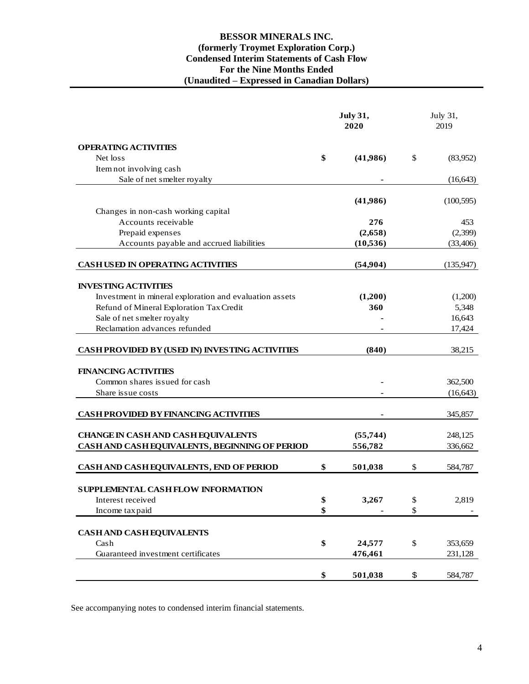## **BESSOR MINERALS INC. (formerly Troymet Exploration Corp.) Condensed Interim Statements of Cash Flow For the Nine Months Ended (Unaudited – Expressed in Canadian Dollars)**

|                                                              | <b>July 31,</b><br>2020 |           |              | July 31,<br>2019     |
|--------------------------------------------------------------|-------------------------|-----------|--------------|----------------------|
| <b>OPERATING ACTIVITIES</b>                                  |                         |           |              |                      |
| Net loss                                                     | \$                      | (41,986)  | $\mathbb{S}$ | (83,952)             |
| Item not involving cash                                      |                         |           |              |                      |
| Sale of net smelter royalty                                  |                         |           |              | (16, 643)            |
|                                                              |                         |           |              |                      |
| Changes in non-cash working capital                          |                         | (41,986)  |              | (100, 595)           |
| Accounts receivable                                          |                         | 276       |              | 453                  |
| Prepaid expenses                                             |                         | (2,658)   |              | (2,399)              |
| Accounts payable and accrued liabilities                     |                         | (10, 536) |              | (33, 406)            |
|                                                              |                         |           |              |                      |
| <b>CASH USED IN OPERATING ACTIVITIES</b>                     |                         | (54,904)  |              | (135, 947)           |
| <b>INVESTING ACTIVITIES</b>                                  |                         |           |              |                      |
| Investment in mineral exploration and evaluation assets      |                         | (1,200)   |              | (1,200)              |
| Refund of Mineral Exploration Tax Credit                     |                         | 360       |              | 5,348                |
| Sale of net smelter royalty                                  |                         |           |              | 16,643               |
| Reclamation advances refunded                                |                         |           |              | 17,424               |
|                                                              |                         |           |              |                      |
| CASH PROVIDED BY (USED IN) INVESTING ACTIVITIES              |                         | (840)     |              | 38,215               |
|                                                              |                         |           |              |                      |
| <b>FINANCING ACTIVITIES</b><br>Common shares issued for cash |                         |           |              |                      |
| Share issue costs                                            |                         |           |              | 362,500<br>(16, 643) |
|                                                              |                         |           |              |                      |
| <b>CASH PROVIDED BY FINANCING ACTIVITIES</b>                 |                         |           |              | 345,857              |
|                                                              |                         |           |              |                      |
| <b>CHANGE IN CASH AND CASH EQUIVALENTS</b>                   |                         | (55,744)  |              | 248,125              |
| CASH AND CASH EQUIVALENTS, BEGINNING OF PERIOD               |                         | 556,782   |              | 336,662              |
| CASH AND CASH EQUIVALENTS, END OF PERIOD                     | \$                      | 501,038   | \$           | 584,787              |
|                                                              |                         |           |              |                      |
| SUPPLEMENTAL CASH FLOW INFORMATION                           |                         |           |              |                      |
| Interest received                                            | \$                      | 3,267     | \$           | 2,819                |
| Income tax paid                                              | \$                      |           | \$           |                      |
| CASH AND CASH EQUIVALENTS                                    |                         |           |              |                      |
| Cash                                                         | \$                      | 24,577    | \$           | 353,659              |
| Guaranteed investment certificates                           |                         | 476,461   |              | 231,128              |
|                                                              |                         |           |              |                      |
|                                                              | \$                      | 501,038   | \$           | 584,787              |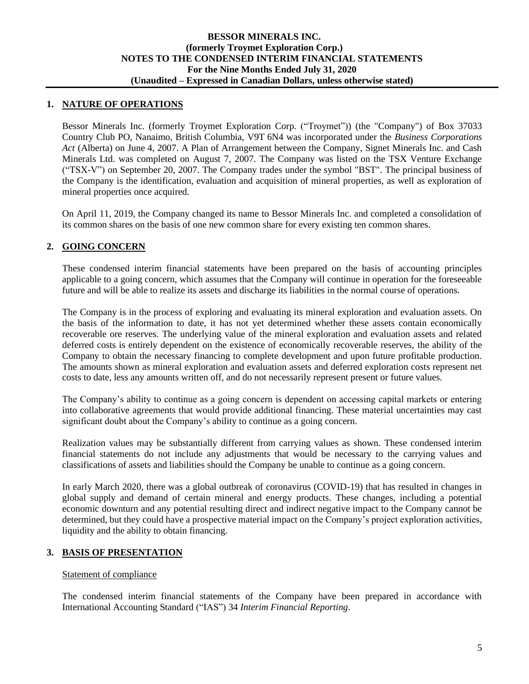## **1. NATURE OF OPERATIONS**

Bessor Minerals Inc. (formerly Troymet Exploration Corp. ("Troymet")) (the "Company") of Box 37033 Country Club PO, Nanaimo, British Columbia, V9T 6N4 was incorporated under the *Business Corporations Act* (Alberta) on June 4, 2007. A Plan of Arrangement between the Company, Signet Minerals Inc. and Cash Minerals Ltd. was completed on August 7, 2007. The Company was listed on the TSX Venture Exchange ("TSX-V") on September 20, 2007. The Company trades under the symbol "BST". The principal business of the Company is the identification, evaluation and acquisition of mineral properties, as well as exploration of mineral properties once acquired.

On April 11, 2019, the Company changed its name to Bessor Minerals Inc. and completed a consolidation of its common shares on the basis of one new common share for every existing ten common shares.

## **2. GOING CONCERN**

These condensed interim financial statements have been prepared on the basis of accounting principles applicable to a going concern, which assumes that the Company will continue in operation for the foreseeable future and will be able to realize its assets and discharge its liabilities in the normal course of operations.

The Company is in the process of exploring and evaluating its mineral exploration and evaluation assets. On the basis of the information to date, it has not yet determined whether these assets contain economically recoverable ore reserves. The underlying value of the mineral exploration and evaluation assets and related deferred costs is entirely dependent on the existence of economically recoverable reserves, the ability of the Company to obtain the necessary financing to complete development and upon future profitable production. The amounts shown as mineral exploration and evaluation assets and deferred exploration costs represent net costs to date, less any amounts written off, and do not necessarily represent present or future values.

The Company's ability to continue as a going concern is dependent on accessing capital markets or entering into collaborative agreements that would provide additional financing. These material uncertainties may cast significant doubt about the Company's ability to continue as a going concern.

Realization values may be substantially different from carrying values as shown. These condensed interim financial statements do not include any adjustments that would be necessary to the carrying values and classifications of assets and liabilities should the Company be unable to continue as a going concern.

In early March 2020, there was a global outbreak of coronavirus (COVID-19) that has resulted in changes in global supply and demand of certain mineral and energy products. These changes, including a potential economic downturn and any potential resulting direct and indirect negative impact to the Company cannot be determined, but they could have a prospective material impact on the Company's project exploration activities, liquidity and the ability to obtain financing.

## **3. BASIS OF PRESENTATION**

### Statement of compliance

The condensed interim financial statements of the Company have been prepared in accordance with International Accounting Standard ("IAS") 34 *Interim Financial Reporting*.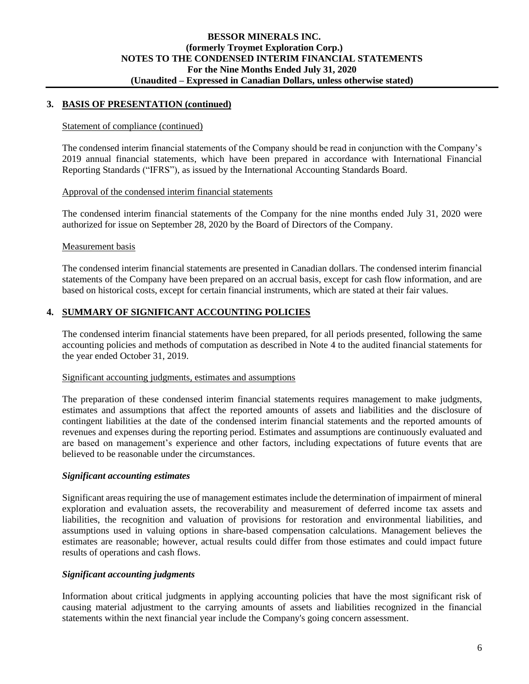## **3. BASIS OF PRESENTATION (continued)**

#### Statement of compliance (continued)

The condensed interim financial statements of the Company should be read in conjunction with the Company's 2019 annual financial statements, which have been prepared in accordance with International Financial Reporting Standards ("IFRS"), as issued by the International Accounting Standards Board.

#### Approval of the condensed interim financial statements

The condensed interim financial statements of the Company for the nine months ended July 31, 2020 were authorized for issue on September 28, 2020 by the Board of Directors of the Company.

#### Measurement basis

The condensed interim financial statements are presented in Canadian dollars. The condensed interim financial statements of the Company have been prepared on an accrual basis, except for cash flow information, and are based on historical costs, except for certain financial instruments, which are stated at their fair values.

### **4. SUMMARY OF SIGNIFICANT ACCOUNTING POLICIES**

The condensed interim financial statements have been prepared, for all periods presented, following the same accounting policies and methods of computation as described in Note 4 to the audited financial statements for the year ended October 31, 2019.

#### Significant accounting judgments, estimates and assumptions

The preparation of these condensed interim financial statements requires management to make judgments, estimates and assumptions that affect the reported amounts of assets and liabilities and the disclosure of contingent liabilities at the date of the condensed interim financial statements and the reported amounts of revenues and expenses during the reporting period. Estimates and assumptions are continuously evaluated and are based on management's experience and other factors, including expectations of future events that are believed to be reasonable under the circumstances.

#### *Significant accounting estimates*

Significant areas requiring the use of management estimates include the determination of impairment of mineral exploration and evaluation assets, the recoverability and measurement of deferred income tax assets and liabilities, the recognition and valuation of provisions for restoration and environmental liabilities, and assumptions used in valuing options in share-based compensation calculations. Management believes the estimates are reasonable; however, actual results could differ from those estimates and could impact future results of operations and cash flows.

### *Significant accounting judgments*

Information about critical judgments in applying accounting policies that have the most significant risk of causing material adjustment to the carrying amounts of assets and liabilities recognized in the financial statements within the next financial year include the Company's going concern assessment.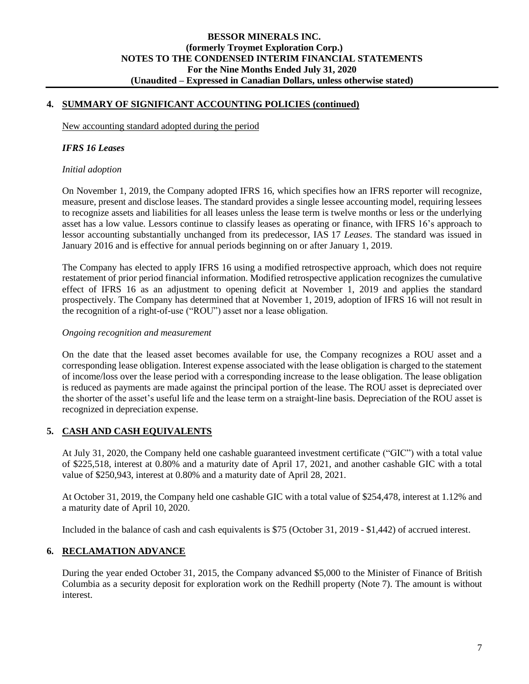## **4. SUMMARY OF SIGNIFICANT ACCOUNTING POLICIES (continued)**

New accounting standard adopted during the period

### *IFRS 16 Leases*

#### *Initial adoption*

On November 1, 2019, the Company adopted IFRS 16, which specifies how an IFRS reporter will recognize, measure, present and disclose leases. The standard provides a single lessee accounting model, requiring lessees to recognize assets and liabilities for all leases unless the lease term is twelve months or less or the underlying asset has a low value. Lessors continue to classify leases as operating or finance, with IFRS 16's approach to lessor accounting substantially unchanged from its predecessor, IAS 17 *Leases*. The standard was issued in January 2016 and is effective for annual periods beginning on or after January 1, 2019.

The Company has elected to apply IFRS 16 using a modified retrospective approach, which does not require restatement of prior period financial information. Modified retrospective application recognizes the cumulative effect of IFRS 16 as an adjustment to opening deficit at November 1, 2019 and applies the standard prospectively. The Company has determined that at November 1, 2019, adoption of IFRS 16 will not result in the recognition of a right-of-use ("ROU") asset nor a lease obligation.

#### *Ongoing recognition and measurement*

On the date that the leased asset becomes available for use, the Company recognizes a ROU asset and a corresponding lease obligation. Interest expense associated with the lease obligation is charged to the statement of income/loss over the lease period with a corresponding increase to the lease obligation. The lease obligation is reduced as payments are made against the principal portion of the lease. The ROU asset is depreciated over the shorter of the asset's useful life and the lease term on a straight-line basis. Depreciation of the ROU asset is recognized in depreciation expense.

## **5. CASH AND CASH EQUIVALENTS**

At July 31, 2020, the Company held one cashable guaranteed investment certificate ("GIC") with a total value of \$225,518, interest at 0.80% and a maturity date of April 17, 2021, and another cashable GIC with a total value of \$250,943, interest at 0.80% and a maturity date of April 28, 2021.

At October 31, 2019, the Company held one cashable GIC with a total value of \$254,478, interest at 1.12% and a maturity date of April 10, 2020.

Included in the balance of cash and cash equivalents is \$75 (October 31, 2019 - \$1,442) of accrued interest.

### **6. RECLAMATION ADVANCE**

During the year ended October 31, 2015, the Company advanced \$5,000 to the Minister of Finance of British Columbia as a security deposit for exploration work on the Redhill property (Note 7). The amount is without interest.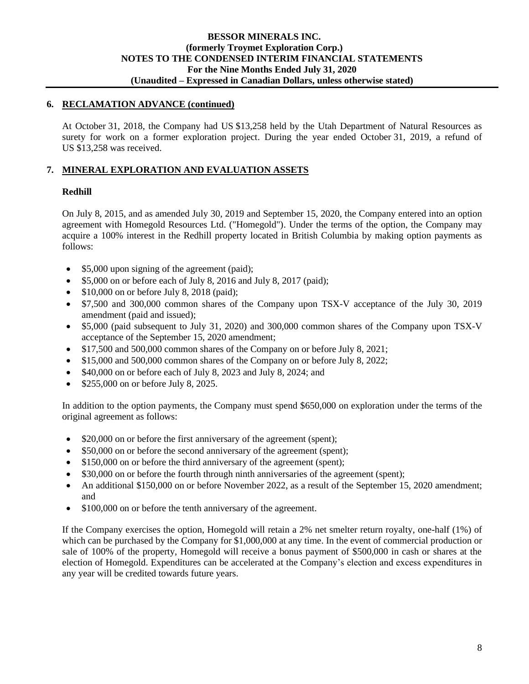## **6. RECLAMATION ADVANCE (continued)**

At October 31, 2018, the Company had US \$13,258 held by the Utah Department of Natural Resources as surety for work on a former exploration project. During the year ended October 31, 2019, a refund of US \$13,258 was received.

## **7. MINERAL EXPLORATION AND EVALUATION ASSETS**

## **Redhill**

On July 8, 2015, and as amended July 30, 2019 and September 15, 2020, the Company entered into an option agreement with Homegold Resources Ltd. ("Homegold"). Under the terms of the option, the Company may acquire a 100% interest in the Redhill property located in British Columbia by making option payments as follows:

- \$5,000 upon signing of the agreement (paid);
- \$5,000 on or before each of July 8, 2016 and July 8, 2017 (paid);
- $$10,000$  on or before July 8, 2018 (paid);
- \$7,500 and 300,000 common shares of the Company upon TSX-V acceptance of the July 30, 2019 amendment (paid and issued);
- \$5,000 (paid subsequent to July 31, 2020) and 300,000 common shares of the Company upon TSX-V acceptance of the September 15, 2020 amendment;
- \$17,500 and 500,000 common shares of the Company on or before July 8, 2021;
- \$15,000 and 500,000 common shares of the Company on or before July 8, 2022;
- \$40,000 on or before each of July 8, 2023 and July 8, 2024; and
- \$255,000 on or before July 8, 2025.

In addition to the option payments, the Company must spend \$650,000 on exploration under the terms of the original agreement as follows:

- \$20,000 on or before the first anniversary of the agreement (spent);
- \$50,000 on or before the second anniversary of the agreement (spent);
- \$150,000 on or before the third anniversary of the agreement (spent);
- \$30,000 on or before the fourth through ninth anniversaries of the agreement (spent);
- An additional \$150,000 on or before November 2022, as a result of the September 15, 2020 amendment; and
- \$100,000 on or before the tenth anniversary of the agreement.

If the Company exercises the option, Homegold will retain a 2% net smelter return royalty, one-half (1%) of which can be purchased by the Company for \$1,000,000 at any time. In the event of commercial production or sale of 100% of the property, Homegold will receive a bonus payment of \$500,000 in cash or shares at the election of Homegold. Expenditures can be accelerated at the Company's election and excess expenditures in any year will be credited towards future years.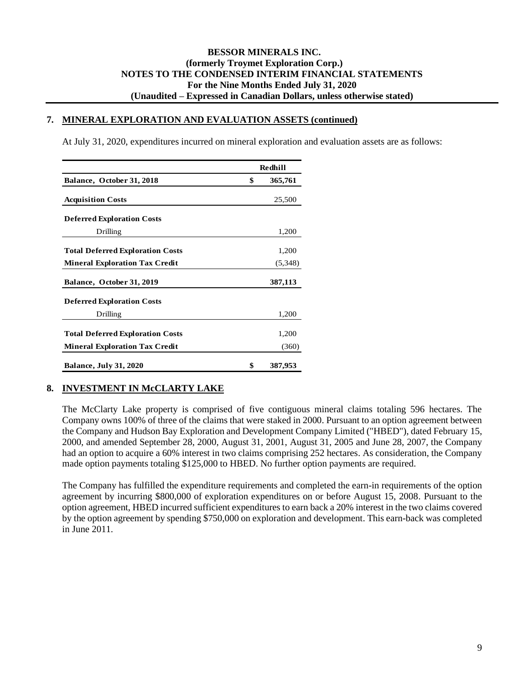#### **7. MINERAL EXPLORATION AND EVALUATION ASSETS (continued)**

At July 31, 2020, expenditures incurred on mineral exploration and evaluation assets are as follows:

|                                         | <b>Redhill</b> |         |  |  |  |
|-----------------------------------------|----------------|---------|--|--|--|
| Balance, October 31, 2018               | \$             | 365,761 |  |  |  |
| <b>Acquisition Costs</b>                |                | 25,500  |  |  |  |
| <b>Deferred Exploration Costs</b>       |                |         |  |  |  |
| Drilling                                |                | 1,200   |  |  |  |
| <b>Total Deferred Exploration Costs</b> |                | 1,200   |  |  |  |
| <b>Mineral Exploration Tax Credit</b>   |                | (5,348) |  |  |  |
| Balance, October 31, 2019               |                | 387,113 |  |  |  |
| <b>Deferred Exploration Costs</b>       |                |         |  |  |  |
| Drilling                                |                | 1,200   |  |  |  |
| <b>Total Deferred Exploration Costs</b> |                | 1,200   |  |  |  |
| <b>Mineral Exploration Tax Credit</b>   |                | (360)   |  |  |  |
| <b>Balance, July 31, 2020</b>           | \$             | 387,953 |  |  |  |

## **8. INVESTMENT IN McCLARTY LAKE**

The McClarty Lake property is comprised of five contiguous mineral claims totaling 596 hectares. The Company owns 100% of three of the claims that were staked in 2000. Pursuant to an option agreement between the Company and Hudson Bay Exploration and Development Company Limited ("HBED"), dated February 15, 2000, and amended September 28, 2000, August 31, 2001, August 31, 2005 and June 28, 2007, the Company had an option to acquire a 60% interest in two claims comprising 252 hectares. As consideration, the Company made option payments totaling \$125,000 to HBED. No further option payments are required.

The Company has fulfilled the expenditure requirements and completed the earn-in requirements of the option agreement by incurring \$800,000 of exploration expenditures on or before August 15, 2008. Pursuant to the option agreement, HBED incurred sufficient expenditures to earn back a 20% interest in the two claims covered by the option agreement by spending \$750,000 on exploration and development. This earn-back was completed in June 2011.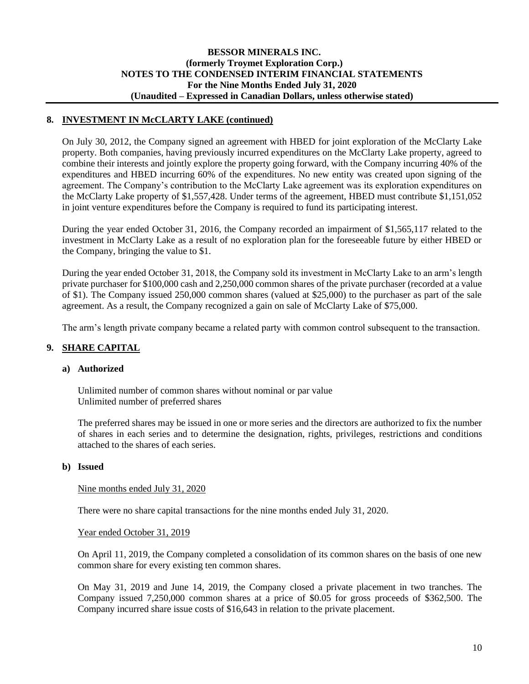## **8. INVESTMENT IN McCLARTY LAKE (continued)**

On July 30, 2012, the Company signed an agreement with HBED for joint exploration of the McClarty Lake property. Both companies, having previously incurred expenditures on the McClarty Lake property, agreed to combine their interests and jointly explore the property going forward, with the Company incurring 40% of the expenditures and HBED incurring 60% of the expenditures. No new entity was created upon signing of the agreement. The Company's contribution to the McClarty Lake agreement was its exploration expenditures on the McClarty Lake property of \$1,557,428. Under terms of the agreement, HBED must contribute \$1,151,052 in joint venture expenditures before the Company is required to fund its participating interest.

During the year ended October 31, 2016, the Company recorded an impairment of \$1,565,117 related to the investment in McClarty Lake as a result of no exploration plan for the foreseeable future by either HBED or the Company, bringing the value to \$1.

During the year ended October 31, 2018, the Company sold its investment in McClarty Lake to an arm's length private purchaser for \$100,000 cash and 2,250,000 common shares of the private purchaser (recorded at a value of \$1). The Company issued 250,000 common shares (valued at \$25,000) to the purchaser as part of the sale agreement. As a result, the Company recognized a gain on sale of McClarty Lake of \$75,000.

The arm's length private company became a related party with common control subsequent to the transaction.

## **9. SHARE CAPITAL**

### **a) Authorized**

Unlimited number of common shares without nominal or par value Unlimited number of preferred shares

The preferred shares may be issued in one or more series and the directors are authorized to fix the number of shares in each series and to determine the designation, rights, privileges, restrictions and conditions attached to the shares of each series.

#### **b) Issued**

#### Nine months ended July 31, 2020

There were no share capital transactions for the nine months ended July 31, 2020.

#### Year ended October 31, 2019

On April 11, 2019, the Company completed a consolidation of its common shares on the basis of one new common share for every existing ten common shares.

On May 31, 2019 and June 14, 2019, the Company closed a private placement in two tranches. The Company issued 7,250,000 common shares at a price of \$0.05 for gross proceeds of \$362,500. The Company incurred share issue costs of \$16,643 in relation to the private placement.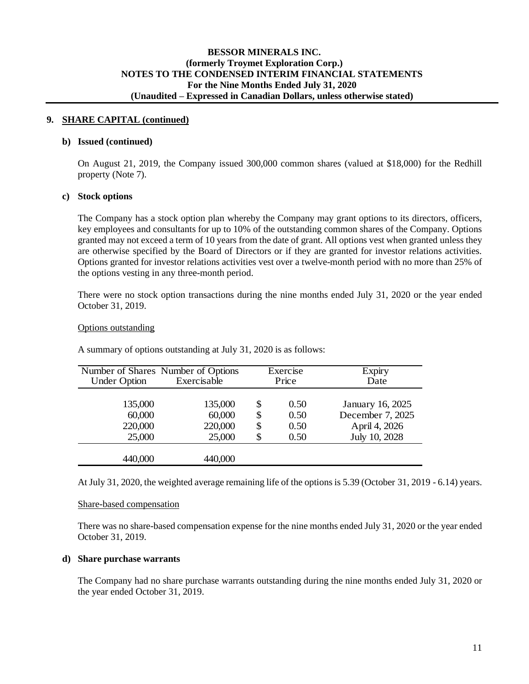#### **9. SHARE CAPITAL (continued)**

#### **b) Issued (continued)**

On August 21, 2019, the Company issued 300,000 common shares (valued at \$18,000) for the Redhill property (Note 7).

#### **c) Stock options**

The Company has a stock option plan whereby the Company may grant options to its directors, officers, key employees and consultants for up to 10% of the outstanding common shares of the Company. Options granted may not exceed a term of 10 years from the date of grant. All options vest when granted unless they are otherwise specified by the Board of Directors or if they are granted for investor relations activities. Options granted for investor relations activities vest over a twelve-month period with no more than 25% of the options vesting in any three-month period.

There were no stock option transactions during the nine months ended July 31, 2020 or the year ended October 31, 2019.

#### Options outstanding

| <b>Under Option</b>                    | Number of Shares Number of Options<br>Exercisable |                      | Exercise<br>Price            | <b>Expiry</b><br>Date                                                  |
|----------------------------------------|---------------------------------------------------|----------------------|------------------------------|------------------------------------------------------------------------|
| 135,000<br>60,000<br>220,000<br>25,000 | 135,000<br>60,000<br>220,000<br>25,000            | S<br>\$<br>\$<br>\$. | 0.50<br>0.50<br>0.50<br>0.50 | January 16, 2025<br>December 7, 2025<br>April 4, 2026<br>July 10, 2028 |
| 440,000                                | 440,000                                           |                      |                              |                                                                        |

A summary of options outstanding at July 31, 2020 is as follows:

At July 31, 2020, the weighted average remaining life of the options is 5.39 (October 31, 2019 - 6.14) years.

#### Share-based compensation

There was no share-based compensation expense for the nine months ended July 31, 2020 or the year ended October 31, 2019.

#### **d) Share purchase warrants**

The Company had no share purchase warrants outstanding during the nine months ended July 31, 2020 or the year ended October 31, 2019.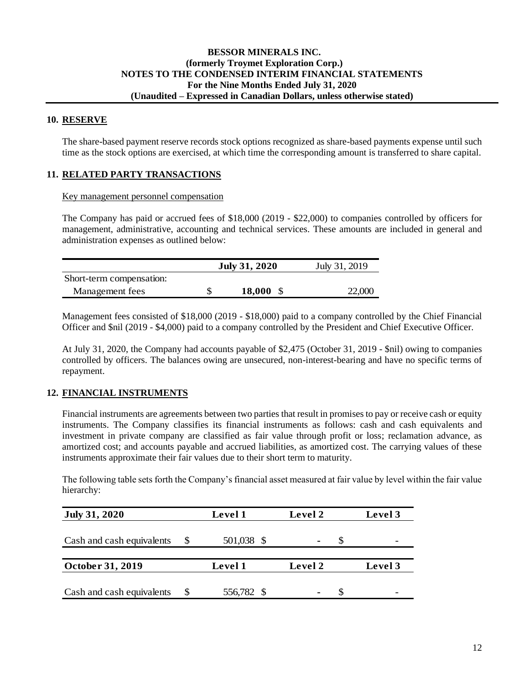## **BESSOR MINERALS INC. (formerly Troymet Exploration Corp.) NOTES TO THE CONDENSED INTERIM FINANCIAL STATEMENTS For the Nine Months Ended July 31, 2020 (Unaudited – Expressed in Canadian Dollars, unless otherwise stated)**

#### **10. RESERVE**

The share-based payment reserve records stock options recognized as share-based payments expense until such time as the stock options are exercised, at which time the corresponding amount is transferred to share capital.

## **11. RELATED PARTY TRANSACTIONS**

#### Key management personnel compensation

The Company has paid or accrued fees of \$18,000 (2019 - \$22,000) to companies controlled by officers for management, administrative, accounting and technical services. These amounts are included in general and administration expenses as outlined below:

|                          | <b>July 31, 2020</b> | July 31, 2019 |  |  |
|--------------------------|----------------------|---------------|--|--|
| Short-term compensation: |                      |               |  |  |
| Management fees          | 18,000               | 22,000        |  |  |

Management fees consisted of \$18,000 (2019 - \$18,000) paid to a company controlled by the Chief Financial Officer and \$nil (2019 - \$4,000) paid to a company controlled by the President and Chief Executive Officer.

At July 31, 2020, the Company had accounts payable of \$2,475 (October 31, 2019 - \$nil) owing to companies controlled by officers. The balances owing are unsecured, non-interest-bearing and have no specific terms of repayment.

### **12. FINANCIAL INSTRUMENTS**

Financial instruments are agreements between two parties that result in promises to pay or receive cash or equity instruments. The Company classifies its financial instruments as follows: cash and cash equivalents and investment in private company are classified as fair value through profit or loss; reclamation advance, as amortized cost; and accounts payable and accrued liabilities, as amortized cost. The carrying values of these instruments approximate their fair values due to their short term to maturity.

The following table sets forth the Company's financial asset measured at fair value by level within the fair value hierarchy:

| <b>July 31, 2020</b>      | Level 1    | Level 2        | Level 3 |
|---------------------------|------------|----------------|---------|
| Cash and cash equivalents | 501,038 \$ | $\blacksquare$ |         |
|                           |            |                |         |
| October 31, 2019          | Level 1    | Level 2        | Level 3 |
| Cash and cash equivalents | 556,782 \$ | ٠              |         |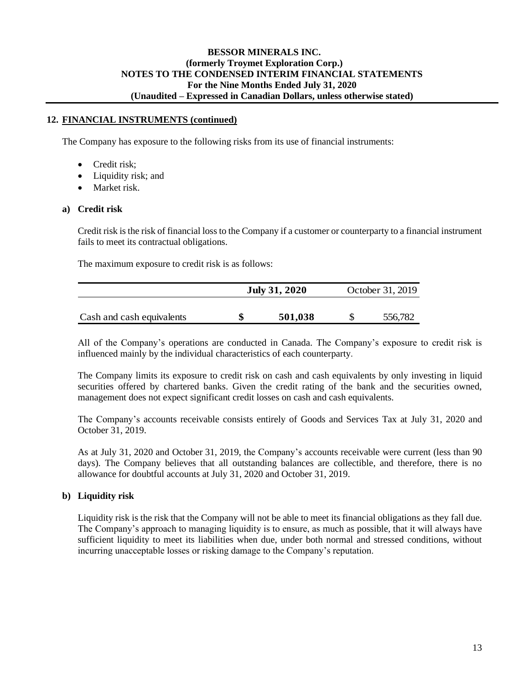## **BESSOR MINERALS INC. (formerly Troymet Exploration Corp.) NOTES TO THE CONDENSED INTERIM FINANCIAL STATEMENTS For the Nine Months Ended July 31, 2020 (Unaudited – Expressed in Canadian Dollars, unless otherwise stated)**

### **12. FINANCIAL INSTRUMENTS (continued)**

The Company has exposure to the following risks from its use of financial instruments:

- Credit risk;
- Liquidity risk; and
- Market risk

### **a) Credit risk**

Credit risk is the risk of financial loss to the Company if a customer or counterparty to a financial instrument fails to meet its contractual obligations.

The maximum exposure to credit risk is as follows:

|                           | <b>July 31, 2020</b> | October 31, 2019 |
|---------------------------|----------------------|------------------|
| Cash and cash equivalents | 501,038              | 556,782          |

All of the Company's operations are conducted in Canada. The Company's exposure to credit risk is influenced mainly by the individual characteristics of each counterparty.

The Company limits its exposure to credit risk on cash and cash equivalents by only investing in liquid securities offered by chartered banks. Given the credit rating of the bank and the securities owned, management does not expect significant credit losses on cash and cash equivalents.

The Company's accounts receivable consists entirely of Goods and Services Tax at July 31, 2020 and October 31, 2019.

As at July 31, 2020 and October 31, 2019, the Company's accounts receivable were current (less than 90 days). The Company believes that all outstanding balances are collectible, and therefore, there is no allowance for doubtful accounts at July 31, 2020 and October 31, 2019.

### **b) Liquidity risk**

Liquidity risk is the risk that the Company will not be able to meet its financial obligations as they fall due. The Company's approach to managing liquidity is to ensure, as much as possible, that it will always have sufficient liquidity to meet its liabilities when due, under both normal and stressed conditions, without incurring unacceptable losses or risking damage to the Company's reputation.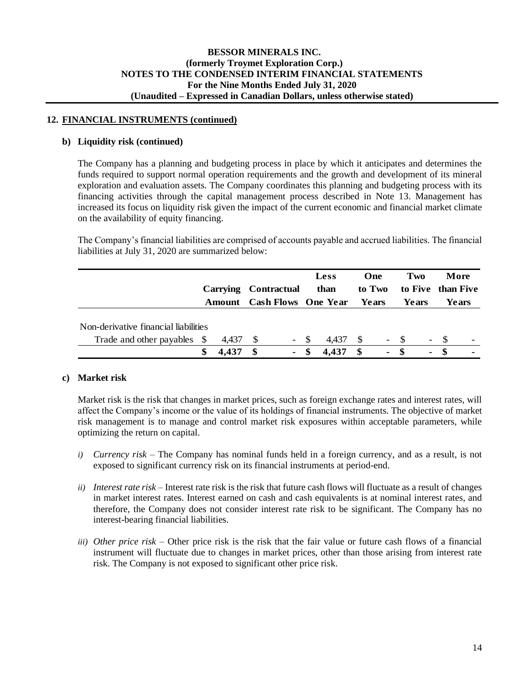### **12. FINANCIAL INSTRUMENTS (continued)**

#### **b) Liquidity risk (continued)**

The Company has a planning and budgeting process in place by which it anticipates and determines the funds required to support normal operation requirements and the growth and development of its mineral exploration and evaluation assets. The Company coordinates this planning and budgeting process with its financing activities through the capital management process described in Note 13. Management has increased its focus on liquidity risk given the impact of the current economic and financial market climate on the availability of equity financing.

The Company's financial liabilities are comprised of accounts payable and accrued liabilities. The financial liabilities at July 31, 2020 are summarized below:

|                                                                     |             |   | Carrying Contractual<br><b>Amount</b> Cash Flows One Year Years |      | Less<br>than |              | One<br>to Two  | Two<br>Years |   | to Five than Five | More<br>Years  |
|---------------------------------------------------------------------|-------------|---|-----------------------------------------------------------------|------|--------------|--------------|----------------|--------------|---|-------------------|----------------|
| Non-derivative financial liabilities<br>Trade and other payables \$ | 4.437       |   | $- S$                                                           |      | 4.437        | $\mathbf{s}$ |                | $- S$        |   | $- S$             |                |
|                                                                     | \$<br>4.437 | S | $\blacksquare$                                                  | - \$ | 4,437        | - \$         | $\blacksquare$ | - \$         | ۰ |                   | $\blacksquare$ |

### **c) Market risk**

Market risk is the risk that changes in market prices, such as foreign exchange rates and interest rates, will affect the Company's income or the value of its holdings of financial instruments. The objective of market risk management is to manage and control market risk exposures within acceptable parameters, while optimizing the return on capital.

- *i) Currency risk –* The Company has nominal funds held in a foreign currency, and as a result, is not exposed to significant currency risk on its financial instruments at period-end.
- *ii) Interest rate risk –* Interest rate risk is the risk that future cash flows will fluctuate as a result of changes in market interest rates. Interest earned on cash and cash equivalents is at nominal interest rates, and therefore, the Company does not consider interest rate risk to be significant. The Company has no interest-bearing financial liabilities.
- *iii) Other price risk –* Other price risk is the risk that the fair value or future cash flows of a financial instrument will fluctuate due to changes in market prices, other than those arising from interest rate risk. The Company is not exposed to significant other price risk.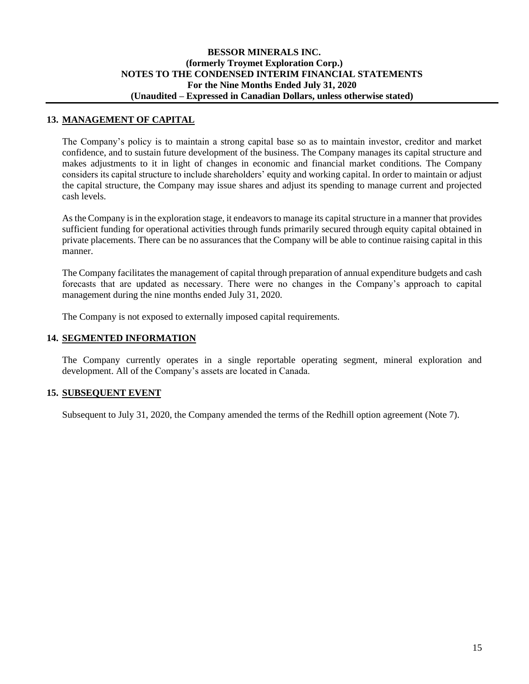## **13. MANAGEMENT OF CAPITAL**

The Company's policy is to maintain a strong capital base so as to maintain investor, creditor and market confidence, and to sustain future development of the business. The Company manages its capital structure and makes adjustments to it in light of changes in economic and financial market conditions. The Company considers its capital structure to include shareholders' equity and working capital. In order to maintain or adjust the capital structure, the Company may issue shares and adjust its spending to manage current and projected cash levels.

As the Company is in the exploration stage, it endeavors to manage its capital structure in a manner that provides sufficient funding for operational activities through funds primarily secured through equity capital obtained in private placements. There can be no assurances that the Company will be able to continue raising capital in this manner.

The Company facilitates the management of capital through preparation of annual expenditure budgets and cash forecasts that are updated as necessary. There were no changes in the Company's approach to capital management during the nine months ended July 31, 2020.

The Company is not exposed to externally imposed capital requirements.

## **14. SEGMENTED INFORMATION**

The Company currently operates in a single reportable operating segment, mineral exploration and development. All of the Company's assets are located in Canada.

## **15. SUBSEQUENT EVENT**

Subsequent to July 31, 2020, the Company amended the terms of the Redhill option agreement (Note 7).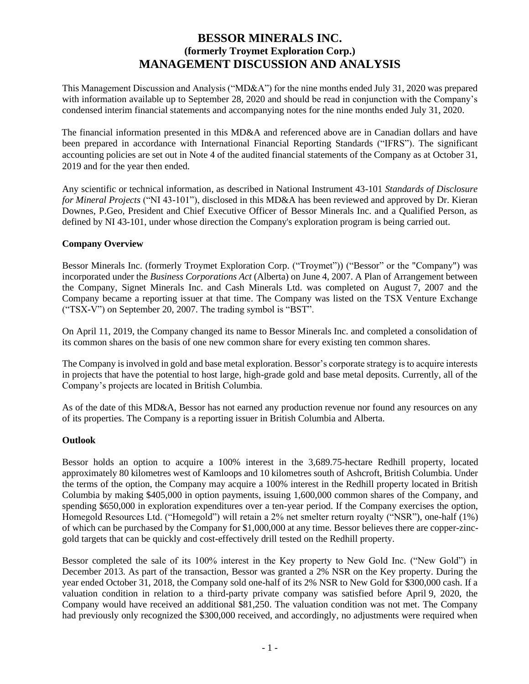# **BESSOR MINERALS INC. (formerly Troymet Exploration Corp.) MANAGEMENT DISCUSSION AND ANALYSIS**

This Management Discussion and Analysis ("MD&A") for the nine months ended July 31, 2020 was prepared with information available up to September 28, 2020 and should be read in conjunction with the Company's condensed interim financial statements and accompanying notes for the nine months ended July 31, 2020.

The financial information presented in this MD&A and referenced above are in Canadian dollars and have been prepared in accordance with International Financial Reporting Standards ("IFRS"). The significant accounting policies are set out in Note 4 of the audited financial statements of the Company as at October 31, 2019 and for the year then ended.

Any scientific or technical information, as described in National Instrument 43-101 *Standards of Disclosure for Mineral Projects* ("NI 43-101"), disclosed in this MD&A has been reviewed and approved by Dr. Kieran Downes, P.Geo, President and Chief Executive Officer of Bessor Minerals Inc. and a Qualified Person, as defined by NI 43-101, under whose direction the Company's exploration program is being carried out.

## **Company Overview**

Bessor Minerals Inc. (formerly Troymet Exploration Corp. ("Troymet")) ("Bessor" or the "Company") was incorporated under the *Business Corporations Act* (Alberta) on June 4, 2007. A Plan of Arrangement between the Company, Signet Minerals Inc. and Cash Minerals Ltd. was completed on August 7, 2007 and the Company became a reporting issuer at that time. The Company was listed on the TSX Venture Exchange ("TSX-V") on September 20, 2007. The trading symbol is "BST".

On April 11, 2019, the Company changed its name to Bessor Minerals Inc. and completed a consolidation of its common shares on the basis of one new common share for every existing ten common shares.

The Company is involved in gold and base metal exploration. Bessor's corporate strategy is to acquire interests in projects that have the potential to host large, high-grade gold and base metal deposits. Currently, all of the Company's projects are located in British Columbia.

As of the date of this MD&A, Bessor has not earned any production revenue nor found any resources on any of its properties. The Company is a reporting issuer in British Columbia and Alberta.

### **Outlook**

Bessor holds an option to acquire a 100% interest in the 3,689.75-hectare Redhill property, located approximately 80 kilometres west of Kamloops and 10 kilometres south of Ashcroft, British Columbia. Under the terms of the option, the Company may acquire a 100% interest in the Redhill property located in British Columbia by making \$405,000 in option payments, issuing 1,600,000 common shares of the Company, and spending \$650,000 in exploration expenditures over a ten-year period. If the Company exercises the option, Homegold Resources Ltd. ("Homegold") will retain a 2% net smelter return royalty ("NSR"), one-half (1%) of which can be purchased by the Company for \$1,000,000 at any time. Bessor believes there are copper-zincgold targets that can be quickly and cost-effectively drill tested on the Redhill property.

Bessor completed the sale of its 100% interest in the Key property to New Gold Inc. ("New Gold") in December 2013. As part of the transaction, Bessor was granted a 2% NSR on the Key property. During the year ended October 31, 2018, the Company sold one-half of its 2% NSR to New Gold for \$300,000 cash. If a valuation condition in relation to a third-party private company was satisfied before April 9, 2020, the Company would have received an additional \$81,250. The valuation condition was not met. The Company had previously only recognized the \$300,000 received, and accordingly, no adjustments were required when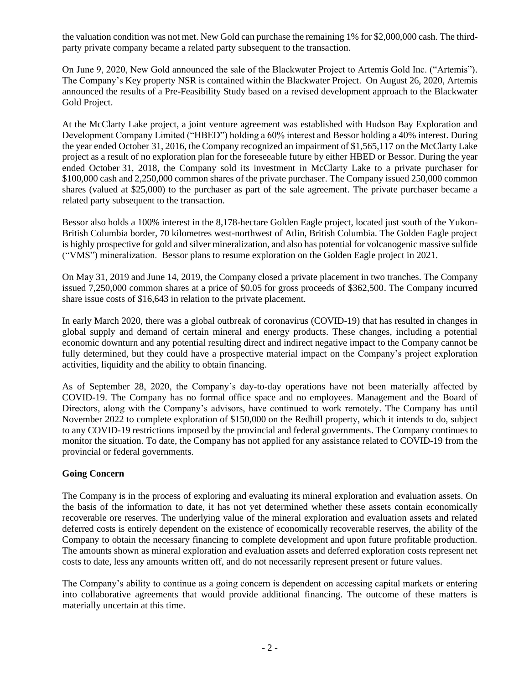the valuation condition was not met. New Gold can purchase the remaining 1% for \$2,000,000 cash. The thirdparty private company became a related party subsequent to the transaction.

On June 9, 2020, New Gold announced the sale of the Blackwater Project to Artemis Gold Inc. ("Artemis"). The Company's Key property NSR is contained within the Blackwater Project. On August 26, 2020, Artemis announced the results of a Pre-Feasibility Study based on a revised development approach to the Blackwater Gold Project.

At the McClarty Lake project, a joint venture agreement was established with Hudson Bay Exploration and Development Company Limited ("HBED") holding a 60% interest and Bessor holding a 40% interest. During the year ended October 31, 2016, the Company recognized an impairment of \$1,565,117 on the McClarty Lake project as a result of no exploration plan for the foreseeable future by either HBED or Bessor. During the year ended October 31, 2018, the Company sold its investment in McClarty Lake to a private purchaser for \$100,000 cash and 2,250,000 common shares of the private purchaser. The Company issued 250,000 common shares (valued at \$25,000) to the purchaser as part of the sale agreement. The private purchaser became a related party subsequent to the transaction.

Bessor also holds a 100% interest in the 8,178-hectare Golden Eagle project, located just south of the Yukon-British Columbia border, 70 kilometres west-northwest of Atlin, British Columbia. The Golden Eagle project is highly prospective for gold and silver mineralization, and also has potential for volcanogenic massive sulfide ("VMS") mineralization. Bessor plans to resume exploration on the Golden Eagle project in 2021.

On May 31, 2019 and June 14, 2019, the Company closed a private placement in two tranches. The Company issued 7,250,000 common shares at a price of \$0.05 for gross proceeds of \$362,500. The Company incurred share issue costs of \$16,643 in relation to the private placement.

In early March 2020, there was a global outbreak of coronavirus (COVID-19) that has resulted in changes in global supply and demand of certain mineral and energy products. These changes, including a potential economic downturn and any potential resulting direct and indirect negative impact to the Company cannot be fully determined, but they could have a prospective material impact on the Company's project exploration activities, liquidity and the ability to obtain financing.

As of September 28, 2020, the Company's day-to-day operations have not been materially affected by COVID-19. The Company has no formal office space and no employees. Management and the Board of Directors, along with the Company's advisors, have continued to work remotely. The Company has until November 2022 to complete exploration of \$150,000 on the Redhill property, which it intends to do, subject to any COVID-19 restrictions imposed by the provincial and federal governments. The Company continues to monitor the situation. To date, the Company has not applied for any assistance related to COVID-19 from the provincial or federal governments.

### **Going Concern**

The Company is in the process of exploring and evaluating its mineral exploration and evaluation assets. On the basis of the information to date, it has not yet determined whether these assets contain economically recoverable ore reserves. The underlying value of the mineral exploration and evaluation assets and related deferred costs is entirely dependent on the existence of economically recoverable reserves, the ability of the Company to obtain the necessary financing to complete development and upon future profitable production. The amounts shown as mineral exploration and evaluation assets and deferred exploration costs represent net costs to date, less any amounts written off, and do not necessarily represent present or future values.

The Company's ability to continue as a going concern is dependent on accessing capital markets or entering into collaborative agreements that would provide additional financing. The outcome of these matters is materially uncertain at this time.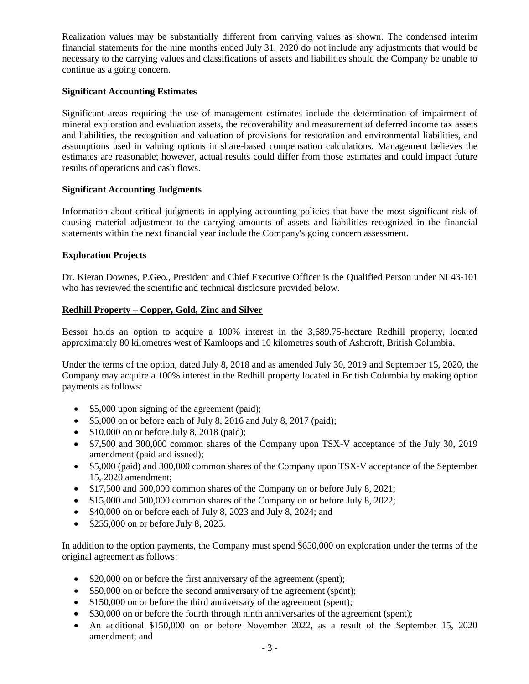Realization values may be substantially different from carrying values as shown. The condensed interim financial statements for the nine months ended July 31, 2020 do not include any adjustments that would be necessary to the carrying values and classifications of assets and liabilities should the Company be unable to continue as a going concern.

## **Significant Accounting Estimates**

Significant areas requiring the use of management estimates include the determination of impairment of mineral exploration and evaluation assets, the recoverability and measurement of deferred income tax assets and liabilities, the recognition and valuation of provisions for restoration and environmental liabilities, and assumptions used in valuing options in share-based compensation calculations. Management believes the estimates are reasonable; however, actual results could differ from those estimates and could impact future results of operations and cash flows.

## **Significant Accounting Judgments**

Information about critical judgments in applying accounting policies that have the most significant risk of causing material adjustment to the carrying amounts of assets and liabilities recognized in the financial statements within the next financial year include the Company's going concern assessment.

### **Exploration Projects**

Dr. Kieran Downes, P.Geo., President and Chief Executive Officer is the Qualified Person under NI 43-101 who has reviewed the scientific and technical disclosure provided below.

## **Redhill Property – Copper, Gold, Zinc and Silver**

Bessor holds an option to acquire a 100% interest in the 3,689.75-hectare Redhill property, located approximately 80 kilometres west of Kamloops and 10 kilometres south of Ashcroft, British Columbia.

Under the terms of the option, dated July 8, 2018 and as amended July 30, 2019 and September 15, 2020, the Company may acquire a 100% interest in the Redhill property located in British Columbia by making option payments as follows:

- \$5,000 upon signing of the agreement (paid);
- \$5,000 on or before each of July 8, 2016 and July 8, 2017 (paid);
- \$10,000 on or before July 8, 2018 (paid);
- \$7,500 and 300,000 common shares of the Company upon TSX-V acceptance of the July 30, 2019 amendment (paid and issued);
- \$5,000 (paid) and 300,000 common shares of the Company upon TSX-V acceptance of the September 15, 2020 amendment;
- \$17,500 and 500,000 common shares of the Company on or before July 8, 2021;
- \$15,000 and 500,000 common shares of the Company on or before July 8, 2022;
- \$40,000 on or before each of July 8, 2023 and July 8, 2024; and
- \$255,000 on or before July 8, 2025.

In addition to the option payments, the Company must spend \$650,000 on exploration under the terms of the original agreement as follows:

- \$20,000 on or before the first anniversary of the agreement (spent);
- \$50,000 on or before the second anniversary of the agreement (spent);
- \$150,000 on or before the third anniversary of the agreement (spent);
- \$30,000 on or before the fourth through ninth anniversaries of the agreement (spent);
- An additional \$150,000 on or before November 2022, as a result of the September 15, 2020 amendment; and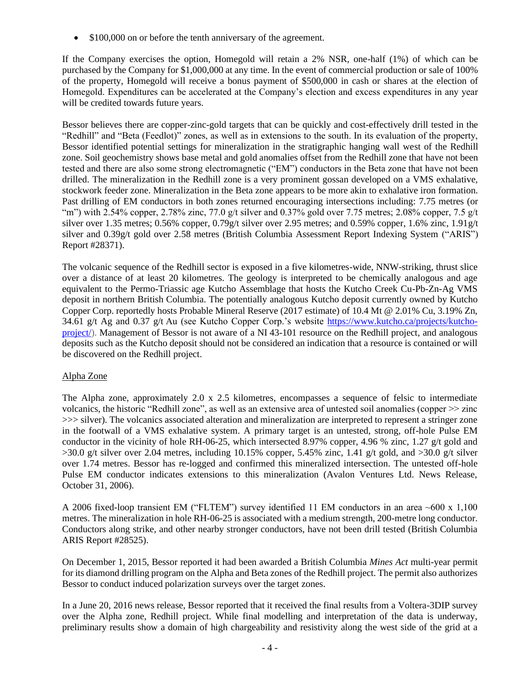• \$100,000 on or before the tenth anniversary of the agreement.

If the Company exercises the option, Homegold will retain a 2% NSR, one-half (1%) of which can be purchased by the Company for \$1,000,000 at any time. In the event of commercial production or sale of 100% of the property, Homegold will receive a bonus payment of \$500,000 in cash or shares at the election of Homegold. Expenditures can be accelerated at the Company's election and excess expenditures in any year will be credited towards future years.

Bessor believes there are copper-zinc-gold targets that can be quickly and cost-effectively drill tested in the "Redhill" and "Beta (Feedlot)" zones, as well as in extensions to the south. In its evaluation of the property, Bessor identified potential settings for mineralization in the stratigraphic hanging wall west of the Redhill zone. Soil geochemistry shows base metal and gold anomalies offset from the Redhill zone that have not been tested and there are also some strong electromagnetic ("EM") conductors in the Beta zone that have not been drilled. The mineralization in the Redhill zone is a very prominent gossan developed on a VMS exhalative, stockwork feeder zone. Mineralization in the Beta zone appears to be more akin to exhalative iron formation. Past drilling of EM conductors in both zones returned encouraging intersections including: 7.75 metres (or "m") with 2.54% copper, 2.78% zinc, 77.0 g/t silver and 0.37% gold over 7.75 metres; 2.08% copper, 7.5 g/t silver over 1.35 metres; 0.56% copper, 0.79g/t silver over 2.95 metres; and 0.59% copper, 1.6% zinc, 1.91g/t silver and 0.39g/t gold over 2.58 metres (British Columbia Assessment Report Indexing System ("ARIS") Report #28371).

The volcanic sequence of the Redhill sector is exposed in a five kilometres-wide, NNW-striking, thrust slice over a distance of at least 20 kilometres. The geology is interpreted to be chemically analogous and age equivalent to the Permo-Triassic age Kutcho Assemblage that hosts the Kutcho Creek Cu-Pb-Zn-Ag VMS deposit in northern British Columbia. The potentially analogous Kutcho deposit currently owned by Kutcho Copper Corp. reportedly hosts Probable Mineral Reserve (2017 estimate) of 10.4 Mt @ 2.01% Cu, 3.19% Zn, 34.61 g/t Ag and 0.37 g/t Au (see Kutcho Copper Corp.'s website [https://www.kutcho.ca/projects/kutcho](https://www.kutcho.ca/projects/kutcho-project/)[project/\)](https://www.kutcho.ca/projects/kutcho-project/). Management of Bessor is not aware of a NI 43-101 resource on the Redhill project, and analogous deposits such as the Kutcho deposit should not be considered an indication that a resource is contained or will be discovered on the Redhill project.

## Alpha Zone

The Alpha zone, approximately 2.0 x 2.5 kilometres, encompasses a sequence of felsic to intermediate volcanics, the historic "Redhill zone", as well as an extensive area of untested soil anomalies (copper >> zinc >>> silver). The volcanics associated alteration and mineralization are interpreted to represent a stringer zone in the footwall of a VMS exhalative system. A primary target is an untested, strong, off-hole Pulse EM conductor in the vicinity of hole RH-06-25, which intersected 8.97% copper, 4.96 % zinc, 1.27 g/t gold and  $>30.0$  g/t silver over 2.04 metres, including 10.15% copper, 5.45% zinc, 1.41 g/t gold, and  $>30.0$  g/t silver over 1.74 metres. Bessor has re-logged and confirmed this mineralized intersection. The untested off-hole Pulse EM conductor indicates extensions to this mineralization (Avalon Ventures Ltd. News Release, October 31, 2006).

A 2006 fixed-loop transient EM ("FLTEM") survey identified 11 EM conductors in an area ~600 x 1,100 metres. The mineralization in hole RH-06-25 is associated with a medium strength, 200-metre long conductor. Conductors along strike, and other nearby stronger conductors, have not been drill tested (British Columbia ARIS Report #28525).

On December 1, 2015, Bessor reported it had been awarded a British Columbia *Mines Act* multi-year permit for its diamond drilling program on the Alpha and Beta zones of the Redhill project. The permit also authorizes Bessor to conduct induced polarization surveys over the target zones.

In a June 20, 2016 news release, Bessor reported that it received the final results from a Voltera-3DIP survey over the Alpha zone, Redhill project. While final modelling and interpretation of the data is underway, preliminary results show a domain of high chargeability and resistivity along the west side of the grid at a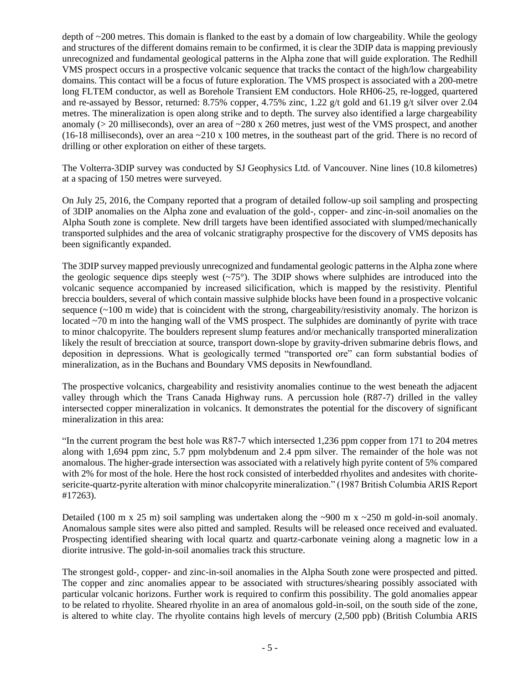depth of ~200 metres. This domain is flanked to the east by a domain of low chargeability. While the geology and structures of the different domains remain to be confirmed, it is clear the 3DIP data is mapping previously unrecognized and fundamental geological patterns in the Alpha zone that will guide exploration. The Redhill VMS prospect occurs in a prospective volcanic sequence that tracks the contact of the high/low chargeability domains. This contact will be a focus of future exploration. The VMS prospect is associated with a 200-metre long FLTEM conductor, as well as Borehole Transient EM conductors. Hole RH06-25, re-logged, quartered and re-assayed by Bessor, returned: 8.75% copper, 4.75% zinc, 1.22 g/t gold and 61.19 g/t silver over 2.04 metres. The mineralization is open along strike and to depth. The survey also identified a large chargeability anomaly ( $> 20$  milliseconds), over an area of  $\sim$ 280 x 260 metres, just west of the VMS prospect, and another (16-18 milliseconds), over an area  $\approx$  210 x 100 metres, in the southeast part of the grid. There is no record of drilling or other exploration on either of these targets.

The Volterra-3DIP survey was conducted by SJ Geophysics Ltd. of Vancouver. Nine lines (10.8 kilometres) at a spacing of 150 metres were surveyed.

On July 25, 2016, the Company reported that a program of detailed follow-up soil sampling and prospecting of 3DIP anomalies on the Alpha zone and evaluation of the gold-, copper- and zinc-in-soil anomalies on the Alpha South zone is complete. New drill targets have been identified associated with slumped/mechanically transported sulphides and the area of volcanic stratigraphy prospective for the discovery of VMS deposits has been significantly expanded.

The 3DIP survey mapped previously unrecognized and fundamental geologic patterns in the Alpha zone where the geologic sequence dips steeply west  $(\sim 75^{\circ})$ . The 3DIP shows where sulphides are introduced into the volcanic sequence accompanied by increased silicification, which is mapped by the resistivity. Plentiful breccia boulders, several of which contain massive sulphide blocks have been found in a prospective volcanic sequence  $(\sim 100 \text{ m}$  wide) that is coincident with the strong, chargeability/resistivity anomaly. The horizon is located ~70 m into the hanging wall of the VMS prospect. The sulphides are dominantly of pyrite with trace to minor chalcopyrite. The boulders represent slump features and/or mechanically transported mineralization likely the result of brecciation at source, transport down-slope by gravity-driven submarine debris flows, and deposition in depressions. What is geologically termed "transported ore" can form substantial bodies of mineralization, as in the Buchans and Boundary VMS deposits in Newfoundland.

The prospective volcanics, chargeability and resistivity anomalies continue to the west beneath the adjacent valley through which the Trans Canada Highway runs. A percussion hole (R87-7) drilled in the valley intersected copper mineralization in volcanics. It demonstrates the potential for the discovery of significant mineralization in this area:

"In the current program the best hole was R87-7 which intersected 1,236 ppm copper from 171 to 204 metres along with 1,694 ppm zinc, 5.7 ppm molybdenum and 2.4 ppm silver. The remainder of the hole was not anomalous. The higher-grade intersection was associated with a relatively high pyrite content of 5% compared with 2% for most of the hole. Here the host rock consisted of interbedded rhyolites and andesites with choritesericite-quartz-pyrite alteration with minor chalcopyrite mineralization." (1987 British Columbia ARIS Report #17263).

Detailed (100 m x 25 m) soil sampling was undertaken along the  $\sim$ 900 m x  $\sim$ 250 m gold-in-soil anomaly. Anomalous sample sites were also pitted and sampled. Results will be released once received and evaluated. Prospecting identified shearing with local quartz and quartz-carbonate veining along a magnetic low in a diorite intrusive. The gold-in-soil anomalies track this structure.

The strongest gold-, copper- and zinc-in-soil anomalies in the Alpha South zone were prospected and pitted. The copper and zinc anomalies appear to be associated with structures/shearing possibly associated with particular volcanic horizons. Further work is required to confirm this possibility. The gold anomalies appear to be related to rhyolite. Sheared rhyolite in an area of anomalous gold-in-soil, on the south side of the zone, is altered to white clay. The rhyolite contains high levels of mercury (2,500 ppb) (British Columbia ARIS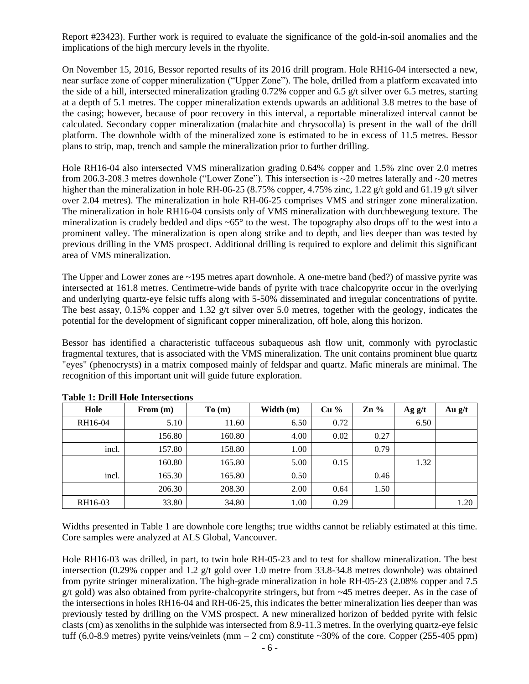Report #23423). Further work is required to evaluate the significance of the gold-in-soil anomalies and the implications of the high mercury levels in the rhyolite.

On November 15, 2016, Bessor reported results of its 2016 drill program. Hole RH16-04 intersected a new, near surface zone of copper mineralization ("Upper Zone"). The hole, drilled from a platform excavated into the side of a hill, intersected mineralization grading 0.72% copper and 6.5  $g/t$  silver over 6.5 metres, starting at a depth of 5.1 metres. The copper mineralization extends upwards an additional 3.8 metres to the base of the casing; however, because of poor recovery in this interval, a reportable mineralized interval cannot be calculated. Secondary copper mineralization (malachite and chrysocolla) is present in the wall of the drill platform. The downhole width of the mineralized zone is estimated to be in excess of 11.5 metres. Bessor plans to strip, map, trench and sample the mineralization prior to further drilling.

Hole RH16-04 also intersected VMS mineralization grading 0.64% copper and 1.5% zinc over 2.0 metres from 206.3-208.3 metres downhole ("Lower Zone"). This intersection is ~20 metres laterally and ~20 metres higher than the mineralization in hole RH-06-25 (8.75% copper, 4.75% zinc, 1.22 g/t gold and 61.19 g/t silver over 2.04 metres). The mineralization in hole RH-06-25 comprises VMS and stringer zone mineralization. The mineralization in hole RH16-04 consists only of VMS mineralization with durchbewegung texture. The mineralization is crudely bedded and dips  $\sim 65^\circ$  to the west. The topography also drops off to the west into a prominent valley. The mineralization is open along strike and to depth, and lies deeper than was tested by previous drilling in the VMS prospect. Additional drilling is required to explore and delimit this significant area of VMS mineralization.

The Upper and Lower zones are ~195 metres apart downhole. A one-metre band (bed?) of massive pyrite was intersected at 161.8 metres. Centimetre-wide bands of pyrite with trace chalcopyrite occur in the overlying and underlying quartz-eye felsic tuffs along with 5-50% disseminated and irregular concentrations of pyrite. The best assay, 0.15% copper and 1.32 g/t silver over 5.0 metres, together with the geology, indicates the potential for the development of significant copper mineralization, off hole, along this horizon.

Bessor has identified a characteristic tuffaceous subaqueous ash flow unit, commonly with pyroclastic fragmental textures, that is associated with the VMS mineralization. The unit contains prominent blue quartz "eyes" (phenocrysts) in a matrix composed mainly of feldspar and quartz. Mafic minerals are minimal. The recognition of this important unit will guide future exploration.

| Hole    | From $(m)$ | To(m)  | Width $(m)$ | $Cu\%$ | $\mathbb{Z} \mathbf{n}$ % | Ag g/t | Au $g/t$ |
|---------|------------|--------|-------------|--------|---------------------------|--------|----------|
| RH16-04 | 5.10       | 11.60  | 6.50        | 0.72   |                           | 6.50   |          |
|         | 156.80     | 160.80 | 4.00        | 0.02   | 0.27                      |        |          |
| incl.   | 157.80     | 158.80 | 1.00        |        | 0.79                      |        |          |
|         | 160.80     | 165.80 | 5.00        | 0.15   |                           | 1.32   |          |
| incl.   | 165.30     | 165.80 | 0.50        |        | 0.46                      |        |          |
|         | 206.30     | 208.30 | 2.00        | 0.64   | 1.50                      |        |          |
| RH16-03 | 33.80      | 34.80  | 1.00        | 0.29   |                           |        | 1.20     |

| <b>Table 1: Drill Hole Intersections</b> |  |  |  |  |  |
|------------------------------------------|--|--|--|--|--|
|------------------------------------------|--|--|--|--|--|

Widths presented in Table 1 are downhole core lengths; true widths cannot be reliably estimated at this time. Core samples were analyzed at ALS Global, Vancouver.

Hole RH16-03 was drilled, in part, to twin hole RH-05-23 and to test for shallow mineralization. The best intersection (0.29% copper and 1.2 g/t gold over 1.0 metre from 33.8-34.8 metres downhole) was obtained from pyrite stringer mineralization. The high-grade mineralization in hole RH-05-23 (2.08% copper and 7.5 g/t gold) was also obtained from pyrite-chalcopyrite stringers, but from ~45 metres deeper. As in the case of the intersections in holes RH16-04 and RH-06-25, this indicates the better mineralization lies deeper than was previously tested by drilling on the VMS prospect. A new mineralized horizon of bedded pyrite with felsic clasts (cm) as xenoliths in the sulphide was intersected from 8.9-11.3 metres. In the overlying quartz-eye felsic tuff (6.0-8.9 metres) pyrite veins/veinlets (mm  $-2$  cm) constitute  $\sim$ 30% of the core. Copper (255-405 ppm)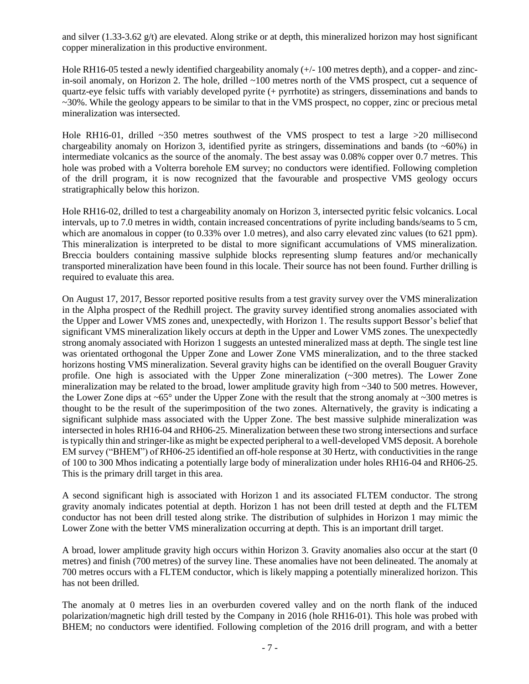and silver (1.33-3.62 g/t) are elevated. Along strike or at depth, this mineralized horizon may host significant copper mineralization in this productive environment.

Hole RH16-05 tested a newly identified chargeability anomaly (+/- 100 metres depth), and a copper- and zincin-soil anomaly, on Horizon 2. The hole, drilled ~100 metres north of the VMS prospect, cut a sequence of quartz-eye felsic tuffs with variably developed pyrite (+ pyrrhotite) as stringers, disseminations and bands to ~30%. While the geology appears to be similar to that in the VMS prospect, no copper, zinc or precious metal mineralization was intersected.

Hole RH16-01, drilled ~350 metres southwest of the VMS prospect to test a large >20 millisecond chargeability anomaly on Horizon 3, identified pyrite as stringers, disseminations and bands (to  $\sim 60\%$ ) in intermediate volcanics as the source of the anomaly. The best assay was 0.08% copper over 0.7 metres. This hole was probed with a Volterra borehole EM survey; no conductors were identified. Following completion of the drill program, it is now recognized that the favourable and prospective VMS geology occurs stratigraphically below this horizon.

Hole RH16-02, drilled to test a chargeability anomaly on Horizon 3, intersected pyritic felsic volcanics. Local intervals, up to 7.0 metres in width, contain increased concentrations of pyrite including bands/seams to 5 cm, which are anomalous in copper (to 0.33% over 1.0 metres), and also carry elevated zinc values (to 621 ppm). This mineralization is interpreted to be distal to more significant accumulations of VMS mineralization. Breccia boulders containing massive sulphide blocks representing slump features and/or mechanically transported mineralization have been found in this locale. Their source has not been found. Further drilling is required to evaluate this area.

On August 17, 2017, Bessor reported positive results from a test gravity survey over the VMS mineralization in the Alpha prospect of the Redhill project. The gravity survey identified strong anomalies associated with the Upper and Lower VMS zones and, unexpectedly, with Horizon 1. The results support Bessor's belief that significant VMS mineralization likely occurs at depth in the Upper and Lower VMS zones. The unexpectedly strong anomaly associated with Horizon 1 suggests an untested mineralized mass at depth. The single test line was orientated orthogonal the Upper Zone and Lower Zone VMS mineralization, and to the three stacked horizons hosting VMS mineralization. Several gravity highs can be identified on the overall Bouguer Gravity profile. One high is associated with the Upper Zone mineralization (~300 metres). The Lower Zone mineralization may be related to the broad, lower amplitude gravity high from ~340 to 500 metres. However, the Lower Zone dips at  $\sim 65^\circ$  under the Upper Zone with the result that the strong anomaly at  $\sim 300$  metres is thought to be the result of the superimposition of the two zones. Alternatively, the gravity is indicating a significant sulphide mass associated with the Upper Zone. The best massive sulphide mineralization was intersected in holes RH16-04 and RH06-25. Mineralization between these two strong intersections and surface is typically thin and stringer-like as might be expected peripheral to a well-developed VMS deposit. A borehole EM survey ("BHEM") of RH06-25 identified an off-hole response at 30 Hertz, with conductivities in the range of 100 to 300 Mhos indicating a potentially large body of mineralization under holes RH16-04 and RH06-25. This is the primary drill target in this area.

A second significant high is associated with Horizon 1 and its associated FLTEM conductor. The strong gravity anomaly indicates potential at depth. Horizon 1 has not been drill tested at depth and the FLTEM conductor has not been drill tested along strike. The distribution of sulphides in Horizon 1 may mimic the Lower Zone with the better VMS mineralization occurring at depth. This is an important drill target.

A broad, lower amplitude gravity high occurs within Horizon 3. Gravity anomalies also occur at the start (0 metres) and finish (700 metres) of the survey line. These anomalies have not been delineated. The anomaly at 700 metres occurs with a FLTEM conductor, which is likely mapping a potentially mineralized horizon. This has not been drilled.

The anomaly at 0 metres lies in an overburden covered valley and on the north flank of the induced polarization/magnetic high drill tested by the Company in 2016 (hole RH16-01). This hole was probed with BHEM; no conductors were identified. Following completion of the 2016 drill program, and with a better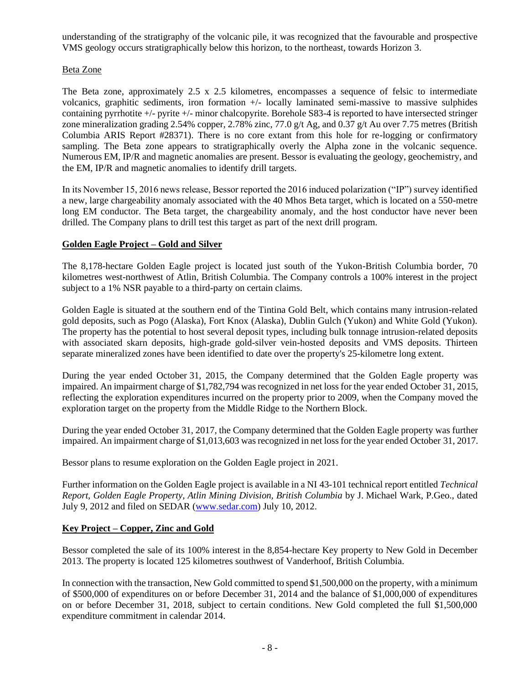understanding of the stratigraphy of the volcanic pile, it was recognized that the favourable and prospective VMS geology occurs stratigraphically below this horizon, to the northeast, towards Horizon 3.

## Beta Zone

The Beta zone, approximately 2.5 x 2.5 kilometres, encompasses a sequence of felsic to intermediate volcanics, graphitic sediments, iron formation +/- locally laminated semi-massive to massive sulphides containing pyrrhotite +/- pyrite +/- minor chalcopyrite. Borehole S83-4 is reported to have intersected stringer zone mineralization grading 2.54% copper, 2.78% zinc, 77.0 g/t Ag, and 0.37 g/t Au over 7.75 metres (British Columbia ARIS Report #28371). There is no core extant from this hole for re-logging or confirmatory sampling. The Beta zone appears to stratigraphically overly the Alpha zone in the volcanic sequence. Numerous EM, IP/R and magnetic anomalies are present. Bessor is evaluating the geology, geochemistry, and the EM, IP/R and magnetic anomalies to identify drill targets.

In its November 15, 2016 news release, Bessor reported the 2016 induced polarization ("IP") survey identified a new, large chargeability anomaly associated with the 40 Mhos Beta target, which is located on a 550-metre long EM conductor. The Beta target, the chargeability anomaly, and the host conductor have never been drilled. The Company plans to drill test this target as part of the next drill program.

## **Golden Eagle Project – Gold and Silver**

The 8,178-hectare Golden Eagle project is located just south of the Yukon-British Columbia border, 70 kilometres west-northwest of Atlin, British Columbia. The Company controls a 100% interest in the project subject to a 1% NSR payable to a third-party on certain claims.

Golden Eagle is situated at the southern end of the Tintina Gold Belt, which contains many intrusion-related gold deposits, such as Pogo (Alaska), Fort Knox (Alaska), Dublin Gulch (Yukon) and White Gold (Yukon). The property has the potential to host several deposit types, including bulk tonnage intrusion-related deposits with associated skarn deposits, high-grade gold-silver vein-hosted deposits and VMS deposits. Thirteen separate mineralized zones have been identified to date over the property's 25-kilometre long extent.

During the year ended October 31, 2015, the Company determined that the Golden Eagle property was impaired. An impairment charge of \$1,782,794 was recognized in net loss for the year ended October 31, 2015, reflecting the exploration expenditures incurred on the property prior to 2009, when the Company moved the exploration target on the property from the Middle Ridge to the Northern Block.

During the year ended October 31, 2017, the Company determined that the Golden Eagle property was further impaired. An impairment charge of \$1,013,603 was recognized in net loss for the year ended October 31, 2017.

Bessor plans to resume exploration on the Golden Eagle project in 2021.

Further information on the Golden Eagle project is available in a NI 43-101 technical report entitled *Technical Report, Golden Eagle Property, Atlin Mining Division, British Columbia* by J. Michael Wark, P.Geo., dated July 9, 2012 and filed on SEDAR [\(www.sedar.com\)](http://www.sedar.com/) July 10, 2012.

## **Key Project – Copper, Zinc and Gold**

Bessor completed the sale of its 100% interest in the 8,854-hectare Key property to New Gold in December 2013. The property is located 125 kilometres southwest of Vanderhoof, British Columbia.

In connection with the transaction, New Gold committed to spend \$1,500,000 on the property, with a minimum of \$500,000 of expenditures on or before December 31, 2014 and the balance of \$1,000,000 of expenditures on or before December 31, 2018, subject to certain conditions. New Gold completed the full \$1,500,000 expenditure commitment in calendar 2014.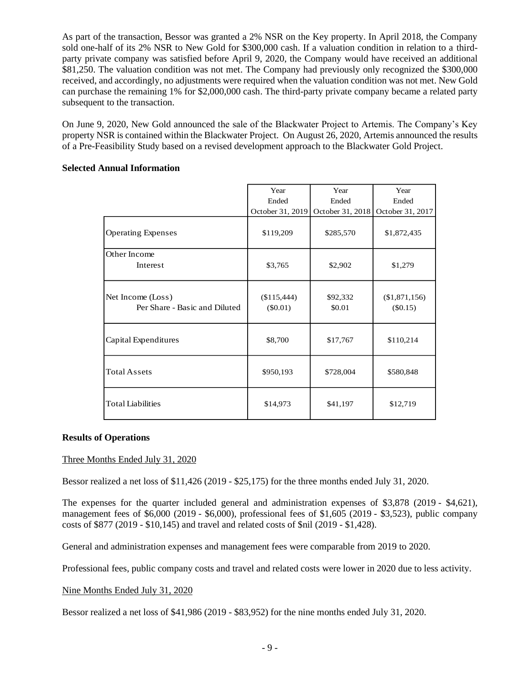As part of the transaction, Bessor was granted a 2% NSR on the Key property. In April 2018, the Company sold one-half of its 2% NSR to New Gold for \$300,000 cash. If a valuation condition in relation to a thirdparty private company was satisfied before April 9, 2020, the Company would have received an additional \$81,250. The valuation condition was not met. The Company had previously only recognized the \$300,000 received, and accordingly, no adjustments were required when the valuation condition was not met. New Gold can purchase the remaining 1% for \$2,000,000 cash. The third-party private company became a related party subsequent to the transaction.

On June 9, 2020, New Gold announced the sale of the Blackwater Project to Artemis. The Company's Key property NSR is contained within the Blackwater Project. On August 26, 2020, Artemis announced the results of a Pre-Feasibility Study based on a revised development approach to the Blackwater Gold Project.

#### **Selected Annual Information**

|                                                    | Year                      | Year               | Year                          |
|----------------------------------------------------|---------------------------|--------------------|-------------------------------|
|                                                    | Ended                     | Ended              | Ended                         |
|                                                    | October 31, 2019          | October 31, 2018   | October 31, 2017              |
| <b>Operating Expenses</b>                          | \$119,209                 | \$285,570          | \$1,872,435                   |
| Other Income<br>Interest                           | \$3,765                   | \$2,902            | \$1,279                       |
| Net Income (Loss)<br>Per Share - Basic and Diluted | (\$115,444)<br>$(\$0.01)$ | \$92,332<br>\$0.01 | $(\$1,871,156)$<br>$(\$0.15)$ |
| Capital Expenditures                               | \$8,700                   | \$17,767           | \$110,214                     |
| <b>Total Assets</b>                                | \$950,193                 | \$728,004          | \$580,848                     |
| <b>Total Liabilities</b>                           | \$14,973                  | \$41,197           | \$12,719                      |

### **Results of Operations**

### Three Months Ended July 31, 2020

Bessor realized a net loss of \$11,426 (2019 - \$25,175) for the three months ended July 31, 2020.

The expenses for the quarter included general and administration expenses of \$3,878 (2019 - \$4,621), management fees of \$6,000 (2019 - \$6,000), professional fees of \$1,605 (2019 - \$3,523), public company costs of \$877 (2019 - \$10,145) and travel and related costs of \$nil (2019 - \$1,428).

General and administration expenses and management fees were comparable from 2019 to 2020.

Professional fees, public company costs and travel and related costs were lower in 2020 due to less activity.

#### Nine Months Ended July 31, 2020

Bessor realized a net loss of \$41,986 (2019 - \$83,952) for the nine months ended July 31, 2020.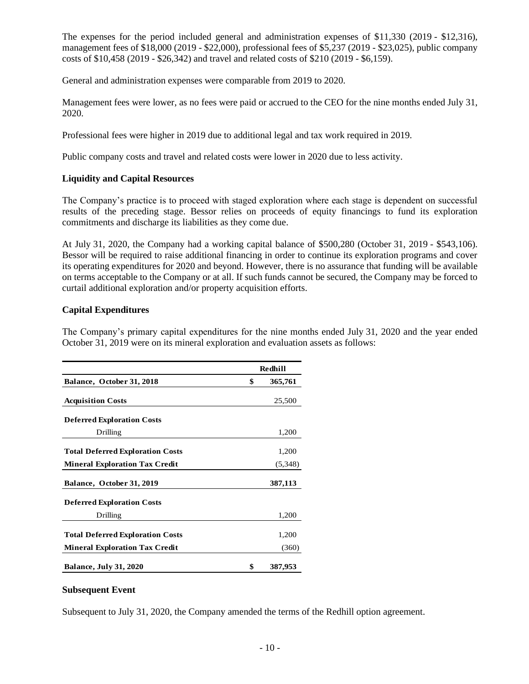The expenses for the period included general and administration expenses of \$11,330 (2019 - \$12,316), management fees of \$18,000 (2019 - \$22,000), professional fees of \$5,237 (2019 - \$23,025), public company costs of \$10,458 (2019 - \$26,342) and travel and related costs of \$210 (2019 - \$6,159).

General and administration expenses were comparable from 2019 to 2020.

Management fees were lower, as no fees were paid or accrued to the CEO for the nine months ended July 31, 2020.

Professional fees were higher in 2019 due to additional legal and tax work required in 2019.

Public company costs and travel and related costs were lower in 2020 due to less activity.

#### **Liquidity and Capital Resources**

The Company's practice is to proceed with staged exploration where each stage is dependent on successful results of the preceding stage. Bessor relies on proceeds of equity financings to fund its exploration commitments and discharge its liabilities as they come due.

At July 31, 2020, the Company had a working capital balance of \$500,280 (October 31, 2019 - \$543,106). Bessor will be required to raise additional financing in order to continue its exploration programs and cover its operating expenditures for 2020 and beyond. However, there is no assurance that funding will be available on terms acceptable to the Company or at all. If such funds cannot be secured, the Company may be forced to curtail additional exploration and/or property acquisition efforts.

#### **Capital Expenditures**

The Company's primary capital expenditures for the nine months ended July 31, 2020 and the year ended October 31, 2019 were on its mineral exploration and evaluation assets as follows:

|                                         | Redhill       |
|-----------------------------------------|---------------|
| Balance, October 31, 2018               | \$<br>365,761 |
| <b>Acquisition Costs</b>                | 25,500        |
| <b>Deferred Exploration Costs</b>       |               |
| Drilling                                | 1,200         |
| <b>Total Deferred Exploration Costs</b> | 1,200         |
| <b>Mineral Exploration Tax Credit</b>   | (5,348)       |
| Balance, October 31, 2019               | 387,113       |
| <b>Deferred Exploration Costs</b>       |               |
| Drilling                                | 1,200         |
| <b>Total Deferred Exploration Costs</b> | 1,200         |
| <b>Mineral Exploration Tax Credit</b>   | (360)         |
| <b>Balance, July 31, 2020</b>           | \$<br>387,953 |

#### **Subsequent Event**

Subsequent to July 31, 2020, the Company amended the terms of the Redhill option agreement.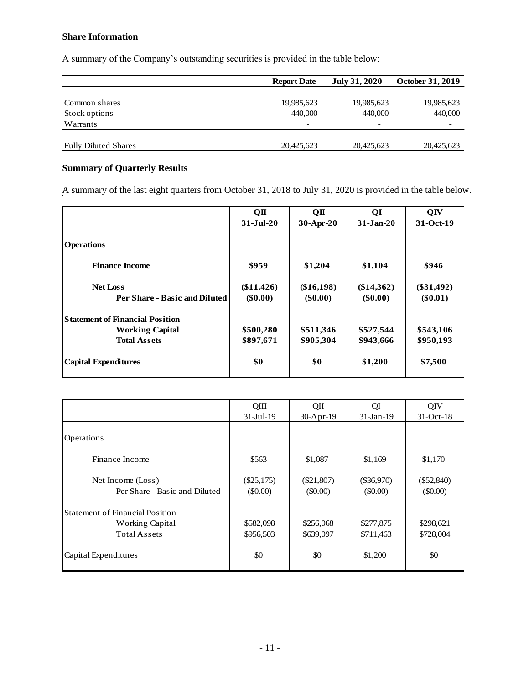# **Share Information**

A summary of the Company's outstanding securities is provided in the table below:

|                             | <b>Report Date</b>       | July 31, 2020            | <b>October 31, 2019</b> |
|-----------------------------|--------------------------|--------------------------|-------------------------|
|                             |                          |                          |                         |
| Common shares               | 19,985,623               | 19,985,623               | 19,985,623              |
| Stock options               | 440,000                  | 440,000                  | 440,000                 |
| Warrants                    | $\overline{\phantom{a}}$ | $\overline{\phantom{0}}$ |                         |
|                             |                          |                          |                         |
| <b>Fully Diluted Shares</b> | 20,425,623               | 20,425,623               | 20,425,623              |

# **Summary of Quarterly Results**

A summary of the last eight quarters from October 31, 2018 to July 31, 2020 is provided in the table below.

|                                        | QП           | OП           | QI            | QIV          |
|----------------------------------------|--------------|--------------|---------------|--------------|
|                                        | $31-Jul-20$  | 30-Apr-20    | $31 - Jan-20$ | 31-Oct-19    |
| <b>Operations</b>                      |              |              |               |              |
| <b>Finance Income</b>                  | \$959        | \$1,204      | \$1,104       | \$946        |
| <b>Net Loss</b>                        | $(\$11,426)$ | $(\$16,198)$ | $(\$14,362)$  | $(\$31,492)$ |
| Per Share - Basic and Diluted          | $(\$0.00)$   | $(\$0.00)$   | $(\$0.00)$    | $(\$0.01)$   |
| <b>Statement of Financial Position</b> |              |              |               |              |
| <b>Working Capital</b>                 | \$500,280    | \$511,346    | \$527,544     | \$543,106    |
| <b>Total Assets</b>                    | \$897,671    | \$905,304    | \$943,666     | \$950,193    |
| <b>Capital Expenditures</b>            | \$0          | \$0          | \$1,200       | \$7,500      |

|                                        | QIII         | QII          | QI           | QIV          |
|----------------------------------------|--------------|--------------|--------------|--------------|
|                                        | $31-Ju1-19$  | 30-Apr-19    | $31-Jan-19$  | 31-Oct-18    |
|                                        |              |              |              |              |
| Operations                             |              |              |              |              |
|                                        |              |              |              |              |
| Finance Income                         | \$563        | \$1,087      | \$1,169      | \$1,170      |
|                                        |              |              |              |              |
| Net Income (Loss)                      | $(\$25,175)$ | $(\$21,807)$ | $(\$36,970)$ | $(\$52,840)$ |
| Per Share - Basic and Diluted          | $($ \$0.00)  | $(\$0.00)$   | $($ \$0.00)  | $(\$0.00)$   |
| <b>Statement of Financial Position</b> |              |              |              |              |
| <b>Working Capital</b>                 | \$582,098    | \$256,068    | \$277,875    | \$298,621    |
| <b>Total Assets</b>                    | \$956,503    | \$639,097    | \$711,463    | \$728,004    |
|                                        |              |              |              |              |
| Capital Expenditures                   | \$0          | \$0          | \$1,200      | \$0          |
|                                        |              |              |              |              |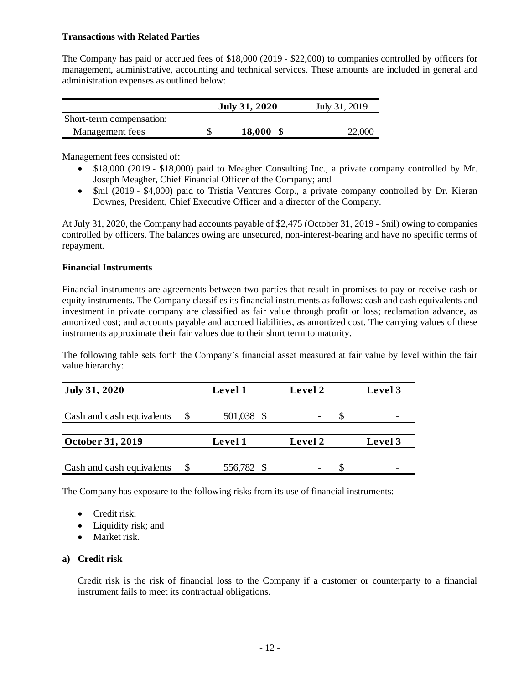#### **Transactions with Related Parties**

The Company has paid or accrued fees of \$18,000 (2019 - \$22,000) to companies controlled by officers for management, administrative, accounting and technical services. These amounts are included in general and administration expenses as outlined below:

|                          | <b>July 31, 2020</b> | July 31, 2019 |  |  |
|--------------------------|----------------------|---------------|--|--|
| Short-term compensation: |                      |               |  |  |
| Management fees          | $18,000 \text{ }$ \$ | 22,000        |  |  |

Management fees consisted of:

- \$18,000 (2019 \$18,000) paid to Meagher Consulting Inc., a private company controlled by Mr. Joseph Meagher, Chief Financial Officer of the Company; and
- \$nil (2019 \$4,000) paid to Tristia Ventures Corp., a private company controlled by Dr. Kieran Downes, President, Chief Executive Officer and a director of the Company.

At July 31, 2020, the Company had accounts payable of \$2,475 (October 31, 2019 - \$nil) owing to companies controlled by officers. The balances owing are unsecured, non-interest-bearing and have no specific terms of repayment.

#### **Financial Instruments**

Financial instruments are agreements between two parties that result in promises to pay or receive cash or equity instruments. The Company classifies its financial instruments as follows: cash and cash equivalents and investment in private company are classified as fair value through profit or loss; reclamation advance, as amortized cost; and accounts payable and accrued liabilities, as amortized cost. The carrying values of these instruments approximate their fair values due to their short term to maturity.

The following table sets forth the Company's financial asset measured at fair value by level within the fair value hierarchy:

| <b>July 31, 2020</b>      | Level 1    | Level 2 | Level 3 |
|---------------------------|------------|---------|---------|
| Cash and cash equivalents | 501,038 \$ | ۰       |         |
| October 31, 2019          | Level 1    | Level 2 | Level 3 |
| Cash and cash equivalents | 556,782 \$ | ٠       |         |

The Company has exposure to the following risks from its use of financial instruments:

- Credit risk;
- Liquidity risk; and
- Market risk.

### **a) Credit risk**

Credit risk is the risk of financial loss to the Company if a customer or counterparty to a financial instrument fails to meet its contractual obligations.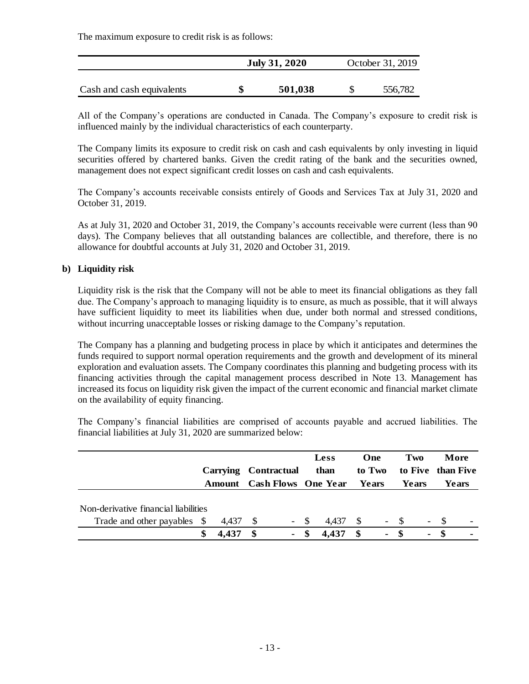The maximum exposure to credit risk is as follows:

|                           | <b>July 31, 2020</b> | October 31, 2019 |         |  |  |
|---------------------------|----------------------|------------------|---------|--|--|
| Cash and cash equivalents | 501,038              |                  | 556,782 |  |  |

All of the Company's operations are conducted in Canada. The Company's exposure to credit risk is influenced mainly by the individual characteristics of each counterparty.

The Company limits its exposure to credit risk on cash and cash equivalents by only investing in liquid securities offered by chartered banks. Given the credit rating of the bank and the securities owned, management does not expect significant credit losses on cash and cash equivalents.

The Company's accounts receivable consists entirely of Goods and Services Tax at July 31, 2020 and October 31, 2019.

As at July 31, 2020 and October 31, 2019, the Company's accounts receivable were current (less than 90 days). The Company believes that all outstanding balances are collectible, and therefore, there is no allowance for doubtful accounts at July 31, 2020 and October 31, 2019.

### **b) Liquidity risk**

Liquidity risk is the risk that the Company will not be able to meet its financial obligations as they fall due. The Company's approach to managing liquidity is to ensure, as much as possible, that it will always have sufficient liquidity to meet its liabilities when due, under both normal and stressed conditions, without incurring unacceptable losses or risking damage to the Company's reputation.

The Company has a planning and budgeting process in place by which it anticipates and determines the funds required to support normal operation requirements and the growth and development of its mineral exploration and evaluation assets. The Company coordinates this planning and budgeting process with its financing activities through the capital management process described in Note 13. Management has increased its focus on liquidity risk given the impact of the current economic and financial market climate on the availability of equity financing.

The Company's financial liabilities are comprised of accounts payable and accrued liabilities. The financial liabilities at July 31, 2020 are summarized below:

|                                                                     | Carrying Contractual<br><b>Amount</b> Cash Flows One Year Years |       |     |        |      | <b>Less</b><br>than |      | One<br>to Two            | Two<br>Years |                |     | More<br>to Five than Five<br>Years |
|---------------------------------------------------------------------|-----------------------------------------------------------------|-------|-----|--------|------|---------------------|------|--------------------------|--------------|----------------|-----|------------------------------------|
| Non-derivative financial liabilities<br>Trade and other payables \$ |                                                                 | 4,437 | - S | $\sim$ | - \$ | 4,437               | - \$ | $\overline{\phantom{a}}$ | - S          | $\blacksquare$ | - S | $\overline{\phantom{a}}$           |
|                                                                     |                                                                 | 4,437 | -S  |        |      | 4,437               | S    | $\blacksquare$           | - \$         | $\blacksquare$ |     |                                    |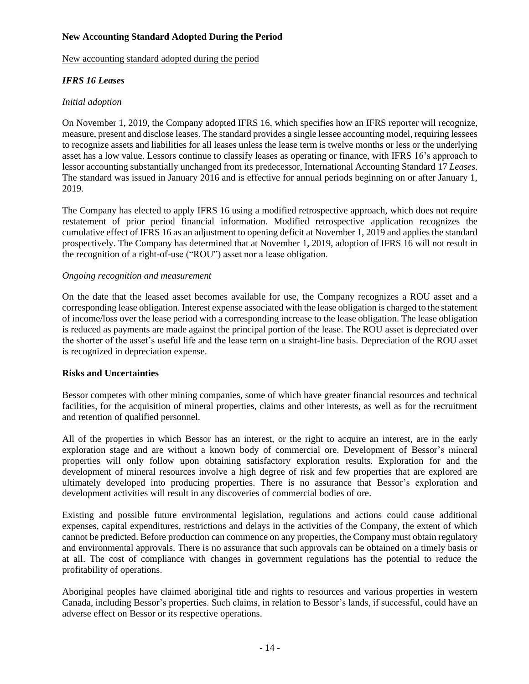## **New Accounting Standard Adopted During the Period**

#### New accounting standard adopted during the period

## *IFRS 16 Leases*

### *Initial adoption*

On November 1, 2019, the Company adopted IFRS 16, which specifies how an IFRS reporter will recognize, measure, present and disclose leases. The standard provides a single lessee accounting model, requiring lessees to recognize assets and liabilities for all leases unless the lease term is twelve months or less or the underlying asset has a low value. Lessors continue to classify leases as operating or finance, with IFRS 16's approach to lessor accounting substantially unchanged from its predecessor, International Accounting Standard 17 *Leases*. The standard was issued in January 2016 and is effective for annual periods beginning on or after January 1, 2019.

The Company has elected to apply IFRS 16 using a modified retrospective approach, which does not require restatement of prior period financial information. Modified retrospective application recognizes the cumulative effect of IFRS 16 as an adjustment to opening deficit at November 1, 2019 and applies the standard prospectively. The Company has determined that at November 1, 2019, adoption of IFRS 16 will not result in the recognition of a right-of-use ("ROU") asset nor a lease obligation.

#### *Ongoing recognition and measurement*

On the date that the leased asset becomes available for use, the Company recognizes a ROU asset and a corresponding lease obligation. Interest expense associated with the lease obligation is charged to the statement of income/loss over the lease period with a corresponding increase to the lease obligation. The lease obligation is reduced as payments are made against the principal portion of the lease. The ROU asset is depreciated over the shorter of the asset's useful life and the lease term on a straight-line basis. Depreciation of the ROU asset is recognized in depreciation expense.

### **Risks and Uncertainties**

Bessor competes with other mining companies, some of which have greater financial resources and technical facilities, for the acquisition of mineral properties, claims and other interests, as well as for the recruitment and retention of qualified personnel.

All of the properties in which Bessor has an interest, or the right to acquire an interest, are in the early exploration stage and are without a known body of commercial ore. Development of Bessor's mineral properties will only follow upon obtaining satisfactory exploration results. Exploration for and the development of mineral resources involve a high degree of risk and few properties that are explored are ultimately developed into producing properties. There is no assurance that Bessor's exploration and development activities will result in any discoveries of commercial bodies of ore.

Existing and possible future environmental legislation, regulations and actions could cause additional expenses, capital expenditures, restrictions and delays in the activities of the Company, the extent of which cannot be predicted. Before production can commence on any properties, the Company must obtain regulatory and environmental approvals. There is no assurance that such approvals can be obtained on a timely basis or at all. The cost of compliance with changes in government regulations has the potential to reduce the profitability of operations.

Aboriginal peoples have claimed aboriginal title and rights to resources and various properties in western Canada, including Bessor's properties. Such claims, in relation to Bessor's lands, if successful, could have an adverse effect on Bessor or its respective operations.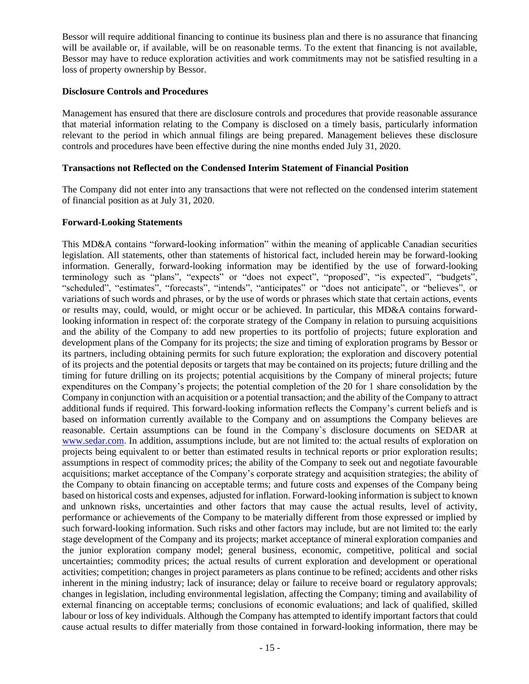Bessor will require additional financing to continue its business plan and there is no assurance that financing will be available or, if available, will be on reasonable terms. To the extent that financing is not available, Bessor may have to reduce exploration activities and work commitments may not be satisfied resulting in a loss of property ownership by Bessor.

#### **Disclosure Controls and Procedures**

Management has ensured that there are disclosure controls and procedures that provide reasonable assurance that material information relating to the Company is disclosed on a timely basis, particularly information relevant to the period in which annual filings are being prepared. Management believes these disclosure controls and procedures have been effective during the nine months ended July 31, 2020.

#### **Transactions not Reflected on the Condensed Interim Statement of Financial Position**

The Company did not enter into any transactions that were not reflected on the condensed interim statement of financial position as at July 31, 2020.

#### **Forward-Looking Statements**

This MD&A contains "forward-looking information" within the meaning of applicable Canadian securities legislation. All statements, other than statements of historical fact, included herein may be forward-looking information. Generally, forward-looking information may be identified by the use of forward-looking terminology such as "plans", "expects" or "does not expect", "proposed", "is expected", "budgets", "scheduled", "estimates", "forecasts", "intends", "anticipates" or "does not anticipate", or "believes", or variations of such words and phrases, or by the use of words or phrases which state that certain actions, events or results may, could, would, or might occur or be achieved. In particular, this MD&A contains forwardlooking information in respect of: the corporate strategy of the Company in relation to pursuing acquisitions and the ability of the Company to add new properties to its portfolio of projects; future exploration and development plans of the Company for its projects; the size and timing of exploration programs by Bessor or its partners, including obtaining permits for such future exploration; the exploration and discovery potential of its projects and the potential deposits or targets that may be contained on its projects; future drilling and the timing for future drilling on its projects; potential acquisitions by the Company of mineral projects; future expenditures on the Company's projects; the potential completion of the 20 for 1 share consolidation by the Company in conjunction with an acquisition or a potential transaction; and the ability of the Company to attract additional funds if required. This forward-looking information reflects the Company's current beliefs and is based on information currently available to the Company and on assumptions the Company believes are reasonable. Certain assumptions can be found in the Company`s disclosure documents on SEDAR at [www.sedar.com.](http://www.sedar.com/) In addition, assumptions include, but are not limited to: the actual results of exploration on projects being equivalent to or better than estimated results in technical reports or prior exploration results; assumptions in respect of commodity prices; the ability of the Company to seek out and negotiate favourable acquisitions; market acceptance of the Company's corporate strategy and acquisition strategies; the ability of the Company to obtain financing on acceptable terms; and future costs and expenses of the Company being based on historical costs and expenses, adjusted for inflation. Forward-looking information is subject to known and unknown risks, uncertainties and other factors that may cause the actual results, level of activity, performance or achievements of the Company to be materially different from those expressed or implied by such forward-looking information. Such risks and other factors may include, but are not limited to: the early stage development of the Company and its projects; market acceptance of mineral exploration companies and the junior exploration company model; general business, economic, competitive, political and social uncertainties; commodity prices; the actual results of current exploration and development or operational activities; competition; changes in project parameters as plans continue to be refined; accidents and other risks inherent in the mining industry; lack of insurance; delay or failure to receive board or regulatory approvals; changes in legislation, including environmental legislation, affecting the Company; timing and availability of external financing on acceptable terms; conclusions of economic evaluations; and lack of qualified, skilled labour or loss of key individuals. Although the Company has attempted to identify important factors that could cause actual results to differ materially from those contained in forward-looking information, there may be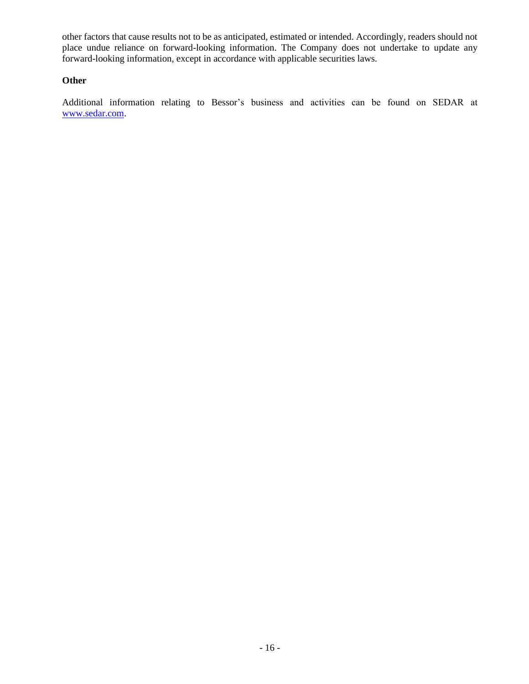other factors that cause results not to be as anticipated, estimated or intended. Accordingly, readers should not place undue reliance on forward-looking information. The Company does not undertake to update any forward-looking information, except in accordance with applicable securities laws.

## **Other**

Additional information relating to Bessor's business and activities can be found on SEDAR at [www.sedar.com.](http://www.sedar.com/)